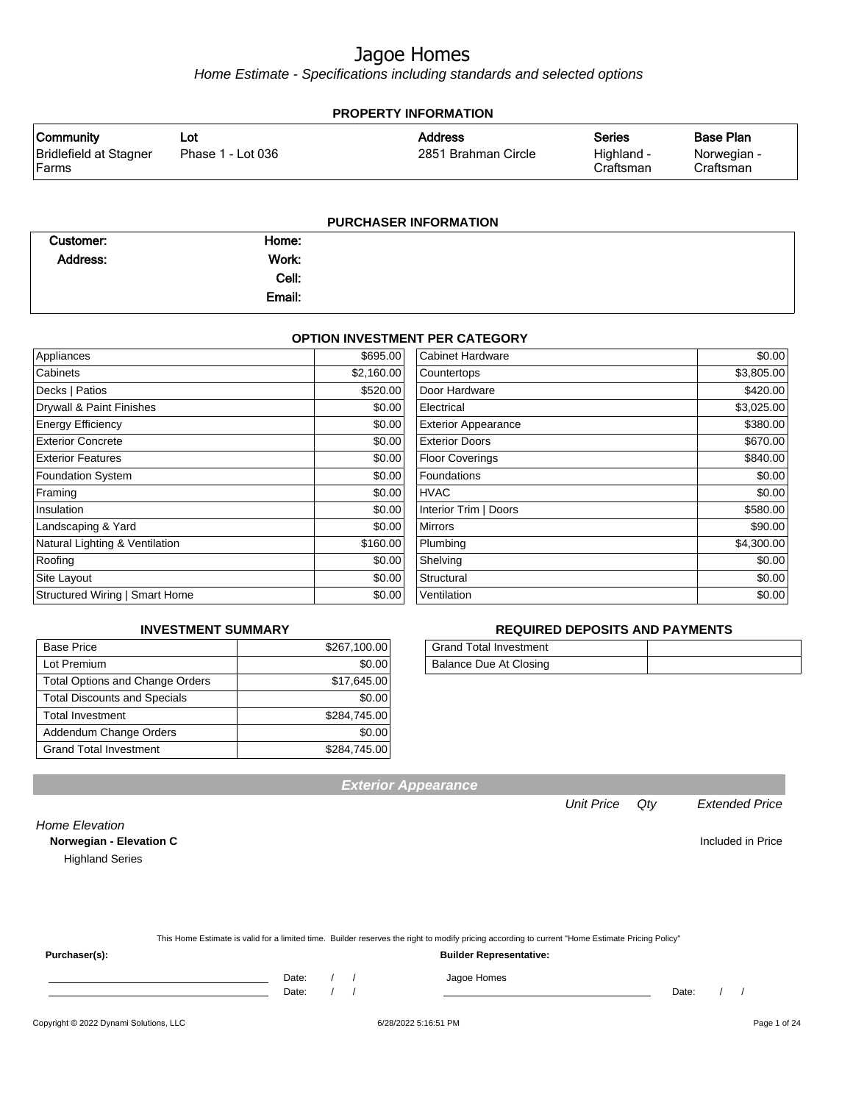Home Estimate - Specifications including standards and selected options

| <b>PROPERTY INFORMATION</b>                    |                          |                                       |                                   |                                              |  |
|------------------------------------------------|--------------------------|---------------------------------------|-----------------------------------|----------------------------------------------|--|
| Community<br>Bridlefield at Stagner<br>l Farms | ∟ot<br>Phase 1 - Lot 036 | <b>Address</b><br>2851 Brahman Circle | Series<br>Highland -<br>Craftsman | <b>Base Plan</b><br>Norwegian -<br>Craftsman |  |
|                                                |                          |                                       |                                   |                                              |  |

#### **PURCHASER INFORMATION**

| Customer: | Home:  |  |
|-----------|--------|--|
| Address:  | Work:  |  |
|           | Cell:  |  |
|           | Email: |  |

#### **OPTION INVESTMENT PER CATEGORY**

| \$695.00   | <b>Cabinet Hardware</b>    | \$0.00     |
|------------|----------------------------|------------|
| \$2,160.00 | Countertops                | \$3,805.00 |
| \$520.00   | Door Hardware              | \$420.00   |
| \$0.00     | Electrical                 | \$3,025.00 |
| \$0.00     | <b>Exterior Appearance</b> | \$380.00   |
| \$0.00     | <b>Exterior Doors</b>      | \$670.00   |
| \$0.00     | <b>Floor Coverings</b>     | \$840.00   |
| \$0.00     | Foundations                | \$0.00     |
| \$0.00     | <b>HVAC</b>                | \$0.00     |
| \$0.00     | Interior Trim   Doors      | \$580.00   |
| \$0.00     | <b>Mirrors</b>             | \$90.00    |
| \$160.00   | Plumbing                   | \$4,300.00 |
| \$0.00     | Shelving                   | \$0.00     |
| \$0.00     | Structural                 | \$0.00     |
| \$0.00     | Ventilation                | \$0.00     |
|            |                            |            |

#### **INVESTMENT SUMMARY**

| <b>Base Price</b>                      | \$267,100.00 |
|----------------------------------------|--------------|
| Lot Premium                            | \$0.00       |
| <b>Total Options and Change Orders</b> | \$17,645.00  |
| <b>Total Discounts and Specials</b>    | \$0.00       |
| <b>Total Investment</b>                | \$284,745.00 |
| Addendum Change Orders                 | \$0.00       |
| <b>Grand Total Investment</b>          | \$284,745.00 |

#### **REQUIRED DEPOSITS AND PAYMENTS**

| <b>Grand Total Investment</b> |  |
|-------------------------------|--|
| Balance Due At Closing        |  |

Unit Price Qty Extended Price **Norwegian - Elevation C Included in Price** 

**Exterior Appearance**

This Home Estimate is valid for a limited time. Builder reserves the right to modify pricing according to current "Home Estimate Pricing Policy"

**Purchaser(s): Builder Representative:**

Home Elevation

Highland Series

Date: / / / Jagoe Homes

Date: / / Date: / /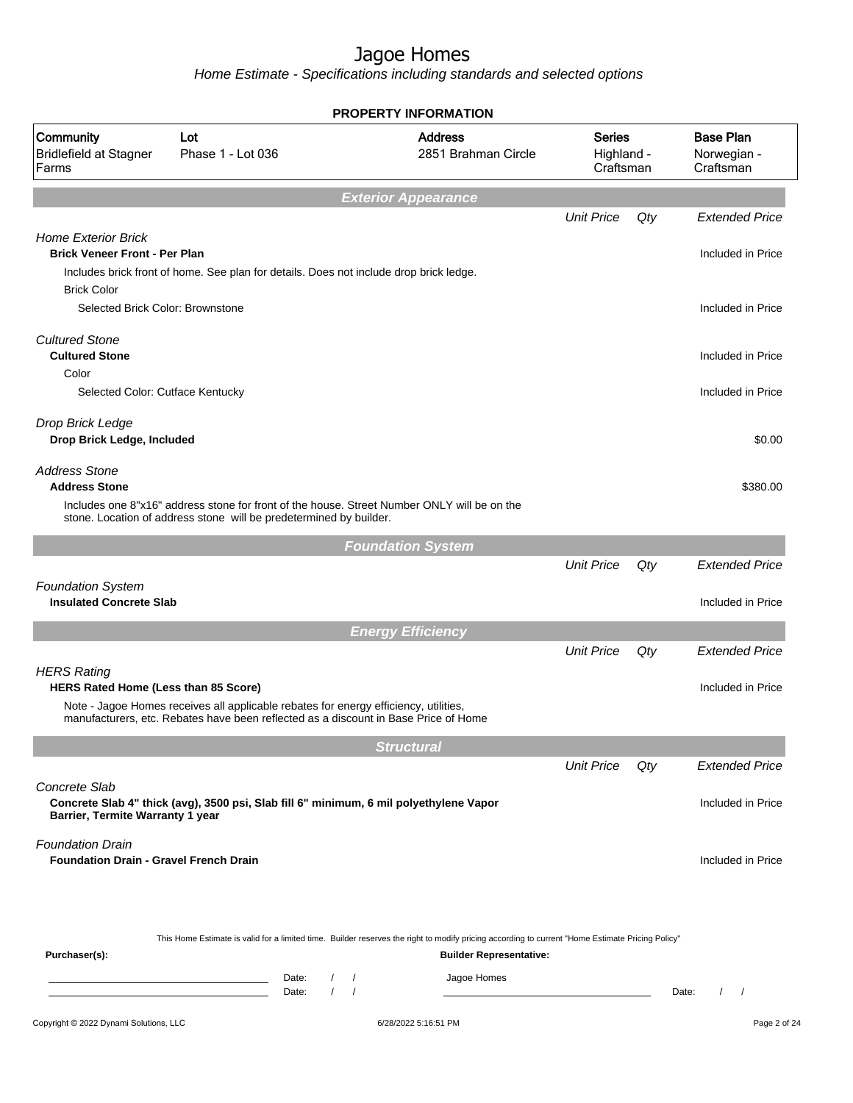|                                                                                          |                                                                                                                                                                             | <b>PROPERTY INFORMATION</b>                                                                                                                                                        |                                          |       |                                              |
|------------------------------------------------------------------------------------------|-----------------------------------------------------------------------------------------------------------------------------------------------------------------------------|------------------------------------------------------------------------------------------------------------------------------------------------------------------------------------|------------------------------------------|-------|----------------------------------------------|
| Community<br><b>Bridlefield at Stagner</b><br>Farms                                      | Lot<br>Phase 1 - Lot 036                                                                                                                                                    | <b>Address</b><br>2851 Brahman Circle                                                                                                                                              | <b>Series</b><br>Highland -<br>Craftsman |       | <b>Base Plan</b><br>Norwegian -<br>Craftsman |
|                                                                                          |                                                                                                                                                                             | <b>Exterior Appearance</b>                                                                                                                                                         |                                          |       |                                              |
|                                                                                          |                                                                                                                                                                             |                                                                                                                                                                                    | <b>Unit Price</b>                        | Qty   | <b>Extended Price</b>                        |
| <b>Home Exterior Brick</b><br><b>Brick Veneer Front - Per Plan</b><br><b>Brick Color</b> | Includes brick front of home. See plan for details. Does not include drop brick ledge.                                                                                      |                                                                                                                                                                                    |                                          |       | Included in Price                            |
| Selected Brick Color: Brownstone                                                         |                                                                                                                                                                             |                                                                                                                                                                                    |                                          |       | Included in Price                            |
| <b>Cultured Stone</b><br><b>Cultured Stone</b>                                           |                                                                                                                                                                             |                                                                                                                                                                                    |                                          |       | Included in Price                            |
| Color<br>Selected Color: Cutface Kentucky                                                |                                                                                                                                                                             |                                                                                                                                                                                    |                                          |       | Included in Price                            |
| Drop Brick Ledge<br>Drop Brick Ledge, Included                                           |                                                                                                                                                                             |                                                                                                                                                                                    |                                          |       | \$0.00                                       |
| <b>Address Stone</b><br><b>Address Stone</b>                                             |                                                                                                                                                                             |                                                                                                                                                                                    |                                          |       | \$380.00                                     |
|                                                                                          | Includes one 8"x16" address stone for front of the house. Street Number ONLY will be on the<br>stone. Location of address stone will be predetermined by builder.           |                                                                                                                                                                                    |                                          |       |                                              |
|                                                                                          |                                                                                                                                                                             | <b>Foundation System</b>                                                                                                                                                           |                                          |       |                                              |
|                                                                                          |                                                                                                                                                                             |                                                                                                                                                                                    | <b>Unit Price</b>                        | Qty   | <b>Extended Price</b>                        |
| <b>Foundation System</b><br><b>Insulated Concrete Slab</b>                               |                                                                                                                                                                             |                                                                                                                                                                                    |                                          |       | Included in Price                            |
|                                                                                          |                                                                                                                                                                             | <b>Energy Efficiency</b>                                                                                                                                                           |                                          |       |                                              |
|                                                                                          |                                                                                                                                                                             |                                                                                                                                                                                    | <b>Unit Price</b>                        | Qty   | <b>Extended Price</b>                        |
| <b>HERS Rating</b><br><b>HERS Rated Home (Less than 85 Score)</b>                        |                                                                                                                                                                             |                                                                                                                                                                                    |                                          |       | Included in Price                            |
|                                                                                          | Note - Jagoe Homes receives all applicable rebates for energy efficiency, utilities,<br>manufacturers, etc. Rebates have been reflected as a discount in Base Price of Home |                                                                                                                                                                                    |                                          |       |                                              |
|                                                                                          |                                                                                                                                                                             | <b>Structural</b>                                                                                                                                                                  |                                          |       |                                              |
|                                                                                          |                                                                                                                                                                             |                                                                                                                                                                                    | <b>Unit Price</b>                        | Qty   | <b>Extended Price</b>                        |
| Concrete Slab<br>Barrier, Termite Warranty 1 year                                        | Concrete Slab 4" thick (avg), 3500 psi, Slab fill 6" minimum, 6 mil polyethylene Vapor                                                                                      |                                                                                                                                                                                    |                                          |       | Included in Price                            |
| <b>Foundation Drain</b><br><b>Foundation Drain - Gravel French Drain</b>                 |                                                                                                                                                                             |                                                                                                                                                                                    |                                          |       | Included in Price                            |
| Purchaser(s):                                                                            |                                                                                                                                                                             | This Home Estimate is valid for a limited time. Builder reserves the right to modify pricing according to current "Home Estimate Pricing Policy"<br><b>Builder Representative:</b> |                                          |       |                                              |
|                                                                                          | Date:<br>$\sqrt{2}$<br>the control of the control of the control of the<br>$\prime$<br>Date:                                                                                | Jagoe Homes<br>$\prime$<br>$\sqrt{2}$                                                                                                                                              |                                          | Date: | $\sqrt{2}$<br>$\overline{\phantom{a}}$       |
| Copyright © 2022 Dynami Solutions, LLC                                                   |                                                                                                                                                                             | 6/28/2022 5:16:51 PM                                                                                                                                                               |                                          |       | Page 2 of 24                                 |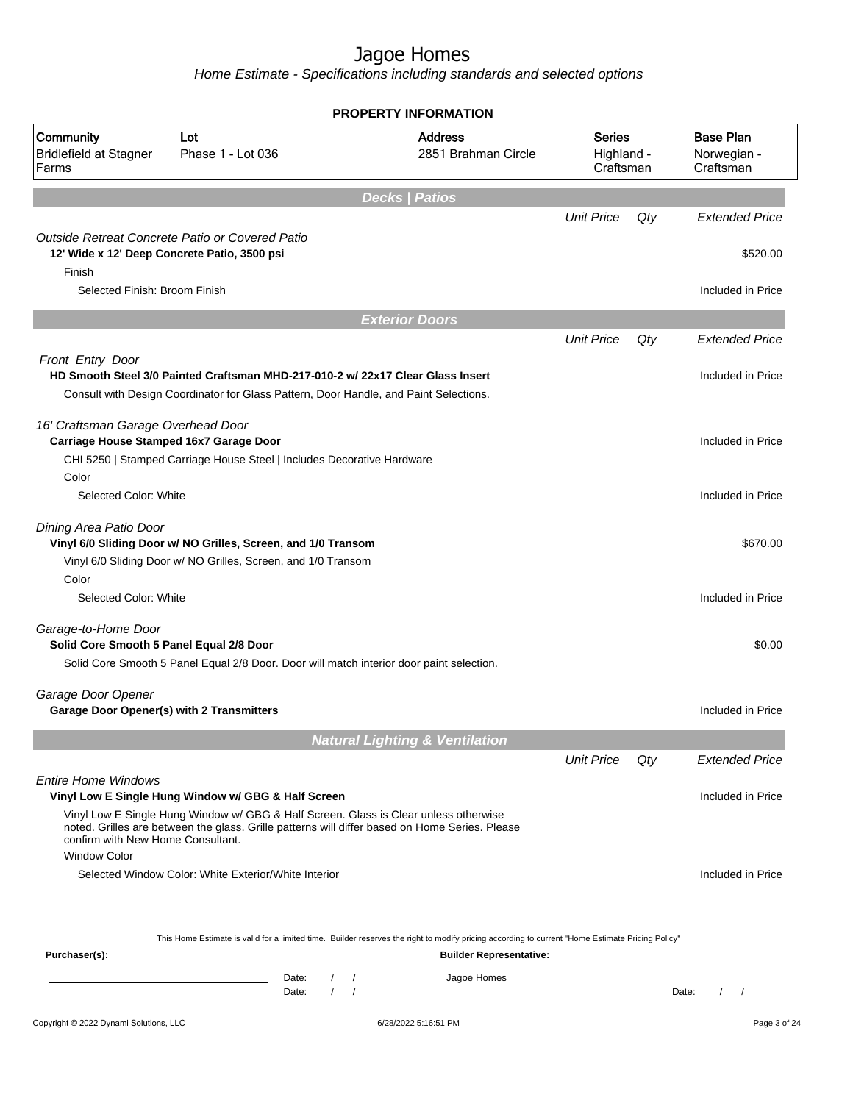|                                                                 |                                                                                                                                                                                        | PROPERTY INFORMATION                                                                                                                             |                                          |     |                                               |
|-----------------------------------------------------------------|----------------------------------------------------------------------------------------------------------------------------------------------------------------------------------------|--------------------------------------------------------------------------------------------------------------------------------------------------|------------------------------------------|-----|-----------------------------------------------|
| Community<br><b>Bridlefield at Stagner</b><br>Farms             | Lot<br>Phase 1 - Lot 036                                                                                                                                                               | <b>Address</b><br>2851 Brahman Circle                                                                                                            | <b>Series</b><br>Highland -<br>Craftsman |     | <b>Base Plan</b><br>Norwegian -<br>Craftsman  |
|                                                                 |                                                                                                                                                                                        | <b>Decks   Patios</b>                                                                                                                            |                                          |     |                                               |
|                                                                 |                                                                                                                                                                                        |                                                                                                                                                  | <b>Unit Price</b>                        | Qty | <b>Extended Price</b>                         |
|                                                                 | Outside Retreat Concrete Patio or Covered Patio<br>12' Wide x 12' Deep Concrete Patio, 3500 psi                                                                                        |                                                                                                                                                  |                                          |     | \$520.00                                      |
| Finish                                                          |                                                                                                                                                                                        |                                                                                                                                                  |                                          |     |                                               |
| Selected Finish: Broom Finish                                   |                                                                                                                                                                                        |                                                                                                                                                  |                                          |     | Included in Price                             |
|                                                                 |                                                                                                                                                                                        | <b>Exterior Doors</b>                                                                                                                            |                                          |     |                                               |
|                                                                 |                                                                                                                                                                                        |                                                                                                                                                  | <b>Unit Price</b>                        | Qty | <b>Extended Price</b>                         |
| Front Entry Door                                                | HD Smooth Steel 3/0 Painted Craftsman MHD-217-010-2 w/ 22x17 Clear Glass Insert<br>Consult with Design Coordinator for Glass Pattern, Door Handle, and Paint Selections.               |                                                                                                                                                  |                                          |     | Included in Price                             |
| 16' Craftsman Garage Overhead Door                              | Carriage House Stamped 16x7 Garage Door<br>CHI 5250   Stamped Carriage House Steel   Includes Decorative Hardware                                                                      |                                                                                                                                                  |                                          |     | Included in Price                             |
| Color                                                           |                                                                                                                                                                                        |                                                                                                                                                  |                                          |     |                                               |
| Selected Color: White                                           |                                                                                                                                                                                        |                                                                                                                                                  |                                          |     | Included in Price                             |
| Dining Area Patio Door                                          | Vinyl 6/0 Sliding Door w/ NO Grilles, Screen, and 1/0 Transom<br>Vinyl 6/0 Sliding Door w/ NO Grilles, Screen, and 1/0 Transom                                                         |                                                                                                                                                  |                                          |     | \$670.00                                      |
| Color<br>Selected Color: White                                  |                                                                                                                                                                                        |                                                                                                                                                  |                                          |     | Included in Price                             |
| Garage-to-Home Door<br>Solid Core Smooth 5 Panel Equal 2/8 Door |                                                                                                                                                                                        |                                                                                                                                                  |                                          |     | \$0.00                                        |
|                                                                 | Solid Core Smooth 5 Panel Equal 2/8 Door. Door will match interior door paint selection.                                                                                               |                                                                                                                                                  |                                          |     |                                               |
| Garage Door Opener                                              |                                                                                                                                                                                        |                                                                                                                                                  |                                          |     |                                               |
| Garage Door Opener(s) with 2 Transmitters                       |                                                                                                                                                                                        |                                                                                                                                                  |                                          |     | Included in Price                             |
|                                                                 |                                                                                                                                                                                        | <b>Natural Lighting &amp; Ventilation</b>                                                                                                        |                                          |     |                                               |
|                                                                 |                                                                                                                                                                                        |                                                                                                                                                  | <b>Unit Price</b>                        | Qty | <b>Extended Price</b>                         |
| <b>Entire Home Windows</b>                                      | Vinyl Low E Single Hung Window w/ GBG & Half Screen                                                                                                                                    |                                                                                                                                                  |                                          |     | Included in Price                             |
| confirm with New Home Consultant.<br><b>Window Color</b>        | Vinyl Low E Single Hung Window w/ GBG & Half Screen. Glass is Clear unless otherwise<br>noted. Grilles are between the glass. Grille patterns will differ based on Home Series. Please |                                                                                                                                                  |                                          |     |                                               |
|                                                                 | Selected Window Color: White Exterior/White Interior                                                                                                                                   |                                                                                                                                                  |                                          |     | Included in Price                             |
|                                                                 |                                                                                                                                                                                        |                                                                                                                                                  |                                          |     |                                               |
|                                                                 |                                                                                                                                                                                        | This Home Estimate is valid for a limited time. Builder reserves the right to modify pricing according to current "Home Estimate Pricing Policy" |                                          |     |                                               |
| Purchaser(s):                                                   |                                                                                                                                                                                        | <b>Builder Representative:</b>                                                                                                                   |                                          |     |                                               |
|                                                                 | Date:<br>$\sqrt{2}$<br>$\sqrt{ }$<br>$\prime$<br>$\sqrt{ }$<br>Date:                                                                                                                   | Jagoe Homes                                                                                                                                      |                                          |     | Date:<br>$\prime$<br>$\overline{\phantom{a}}$ |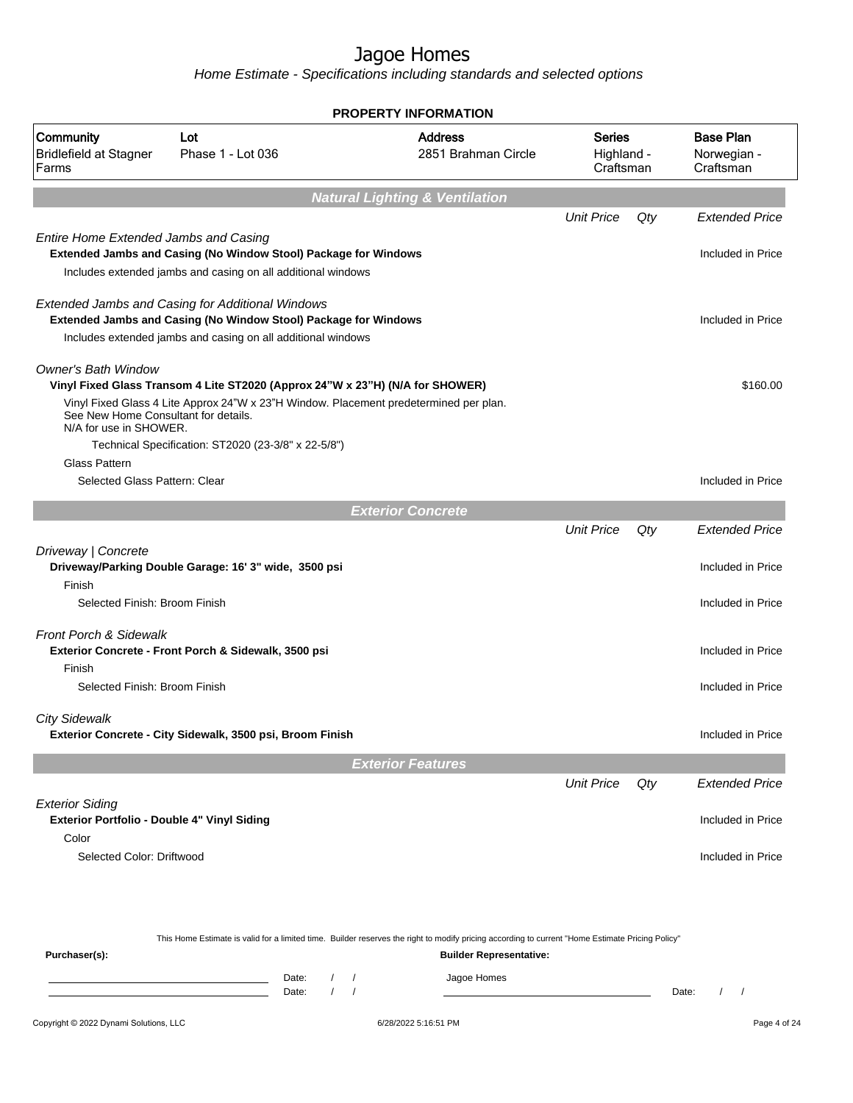|                                                                       |                                                                                                                                                                                     | <b>PROPERTY INFORMATION</b>               |                                       |                                          |       |                                              |
|-----------------------------------------------------------------------|-------------------------------------------------------------------------------------------------------------------------------------------------------------------------------------|-------------------------------------------|---------------------------------------|------------------------------------------|-------|----------------------------------------------|
| Community<br><b>Bridlefield at Stagner</b><br>Farms                   | Lot<br>Phase 1 - Lot 036                                                                                                                                                            |                                           | <b>Address</b><br>2851 Brahman Circle | <b>Series</b><br>Highland -<br>Craftsman |       | <b>Base Plan</b><br>Norwegian -<br>Craftsman |
|                                                                       |                                                                                                                                                                                     | <b>Natural Lighting &amp; Ventilation</b> |                                       |                                          |       |                                              |
|                                                                       |                                                                                                                                                                                     |                                           |                                       | <b>Unit Price</b>                        | Qty   | <b>Extended Price</b>                        |
| <b>Entire Home Extended Jambs and Casing</b>                          | Extended Jambs and Casing (No Window Stool) Package for Windows                                                                                                                     |                                           |                                       |                                          |       | Included in Price                            |
|                                                                       | Includes extended jambs and casing on all additional windows                                                                                                                        |                                           |                                       |                                          |       |                                              |
|                                                                       | Extended Jambs and Casing for Additional Windows<br>Extended Jambs and Casing (No Window Stool) Package for Windows<br>Includes extended jambs and casing on all additional windows |                                           |                                       |                                          |       | Included in Price                            |
| <b>Owner's Bath Window</b>                                            | Vinyl Fixed Glass Transom 4 Lite ST2020 (Approx 24"W x 23"H) (N/A for SHOWER)                                                                                                       |                                           |                                       |                                          |       | \$160.00                                     |
| See New Home Consultant for details.<br>N/A for use in SHOWER.        | Vinyl Fixed Glass 4 Lite Approx 24"W x 23"H Window. Placement predetermined per plan.                                                                                               |                                           |                                       |                                          |       |                                              |
| <b>Glass Pattern</b><br>Selected Glass Pattern: Clear                 | Technical Specification: ST2020 (23-3/8" x 22-5/8")                                                                                                                                 |                                           |                                       |                                          |       | Included in Price                            |
|                                                                       |                                                                                                                                                                                     |                                           |                                       |                                          |       |                                              |
|                                                                       |                                                                                                                                                                                     | <b>Exterior Concrete</b>                  |                                       |                                          |       |                                              |
|                                                                       |                                                                                                                                                                                     |                                           |                                       | <b>Unit Price</b>                        | Qty   | <b>Extended Price</b>                        |
| Driveway   Concrete<br>Finish                                         | Driveway/Parking Double Garage: 16' 3" wide, 3500 psi                                                                                                                               |                                           |                                       |                                          |       | Included in Price                            |
| Selected Finish: Broom Finish                                         |                                                                                                                                                                                     |                                           |                                       |                                          |       | Included in Price                            |
| <b>Front Porch &amp; Sidewalk</b>                                     | Exterior Concrete - Front Porch & Sidewalk, 3500 psi                                                                                                                                |                                           |                                       |                                          |       | Included in Price                            |
| Finish<br>Selected Finish: Broom Finish                               |                                                                                                                                                                                     |                                           |                                       |                                          |       | Included in Price                            |
| <b>City Sidewalk</b>                                                  | Exterior Concrete - City Sidewalk, 3500 psi, Broom Finish                                                                                                                           |                                           |                                       |                                          |       | Included in Price                            |
|                                                                       |                                                                                                                                                                                     | <b>Exterior Features</b>                  |                                       |                                          |       |                                              |
|                                                                       |                                                                                                                                                                                     |                                           |                                       | <b>Unit Price</b>                        | Qty   | <b>Extended Price</b>                        |
| <b>Exterior Siding</b><br>Exterior Portfolio - Double 4" Vinyl Siding |                                                                                                                                                                                     |                                           |                                       |                                          |       | Included in Price                            |
| Color<br>Selected Color: Driftwood                                    |                                                                                                                                                                                     |                                           |                                       |                                          |       | Included in Price                            |
|                                                                       | This Home Estimate is valid for a limited time. Builder reserves the right to modify pricing according to current "Home Estimate Pricing Policy"                                    |                                           |                                       |                                          |       |                                              |
| Purchaser(s):                                                         |                                                                                                                                                                                     |                                           | <b>Builder Representative:</b>        |                                          |       |                                              |
|                                                                       | Date:<br>$\prime$<br>Date:                                                                                                                                                          |                                           | Jagoe Homes                           |                                          | Date: | $\prime$<br>$\sqrt{ }$                       |
| Copyright © 2022 Dynami Solutions, LLC                                |                                                                                                                                                                                     | 6/28/2022 5:16:51 PM                      |                                       |                                          |       | Page 4 of 24                                 |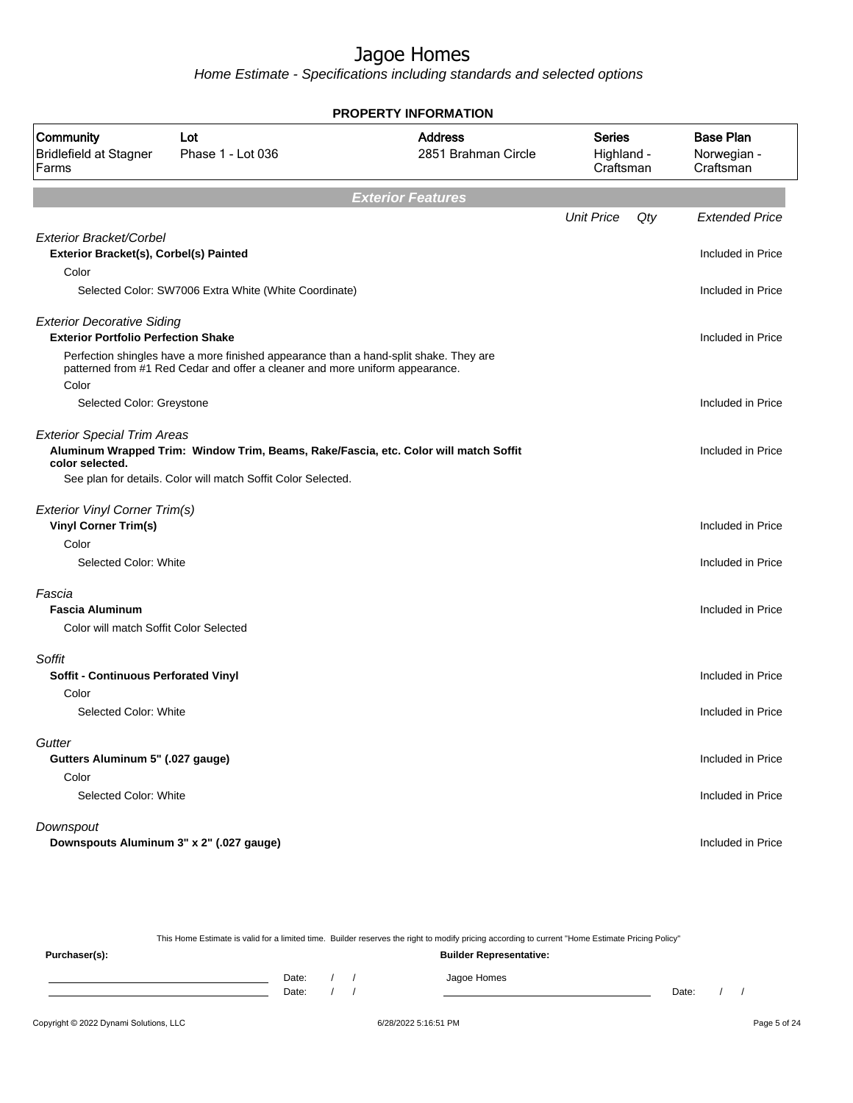Home Estimate - Specifications including standards and selected options

| <b>PROPERTY INFORMATION</b>                          |                                                                                                                                                                       |                                       |                                   |     |                                              |  |
|------------------------------------------------------|-----------------------------------------------------------------------------------------------------------------------------------------------------------------------|---------------------------------------|-----------------------------------|-----|----------------------------------------------|--|
| Community<br><b>Bridlefield at Stagner</b><br>Farms  | Lot<br>Phase 1 - Lot 036                                                                                                                                              | <b>Address</b><br>2851 Brahman Circle | Series<br>Highland -<br>Craftsman |     | <b>Base Plan</b><br>Norwegian -<br>Craftsman |  |
|                                                      |                                                                                                                                                                       | <b>Exterior Features</b>              |                                   |     |                                              |  |
|                                                      |                                                                                                                                                                       |                                       | <b>Unit Price</b>                 | Qty | <b>Extended Price</b>                        |  |
| Exterior Bracket/Corbel                              |                                                                                                                                                                       |                                       |                                   |     |                                              |  |
| Exterior Bracket(s), Corbel(s) Painted               |                                                                                                                                                                       |                                       |                                   |     | Included in Price                            |  |
| Color                                                | Selected Color: SW7006 Extra White (White Coordinate)                                                                                                                 |                                       |                                   |     | Included in Price                            |  |
|                                                      |                                                                                                                                                                       |                                       |                                   |     |                                              |  |
| <b>Exterior Decorative Siding</b>                    |                                                                                                                                                                       |                                       |                                   |     |                                              |  |
| <b>Exterior Portfolio Perfection Shake</b>           |                                                                                                                                                                       |                                       |                                   |     | Included in Price                            |  |
|                                                      | Perfection shingles have a more finished appearance than a hand-split shake. They are<br>patterned from #1 Red Cedar and offer a cleaner and more uniform appearance. |                                       |                                   |     |                                              |  |
| Color                                                |                                                                                                                                                                       |                                       |                                   |     |                                              |  |
| Selected Color: Greystone                            |                                                                                                                                                                       |                                       |                                   |     | Included in Price                            |  |
|                                                      |                                                                                                                                                                       |                                       |                                   |     |                                              |  |
| <b>Exterior Special Trim Areas</b>                   | Aluminum Wrapped Trim: Window Trim, Beams, Rake/Fascia, etc. Color will match Soffit                                                                                  |                                       |                                   |     | Included in Price                            |  |
| color selected.                                      |                                                                                                                                                                       |                                       |                                   |     |                                              |  |
|                                                      | See plan for details. Color will match Soffit Color Selected.                                                                                                         |                                       |                                   |     |                                              |  |
| Exterior Vinyl Corner Trim(s)                        |                                                                                                                                                                       |                                       |                                   |     |                                              |  |
| <b>Vinyl Corner Trim(s)</b>                          |                                                                                                                                                                       |                                       |                                   |     | Included in Price                            |  |
| Color                                                |                                                                                                                                                                       |                                       |                                   |     |                                              |  |
| Selected Color: White                                |                                                                                                                                                                       |                                       |                                   |     | Included in Price                            |  |
| Fascia                                               |                                                                                                                                                                       |                                       |                                   |     |                                              |  |
| <b>Fascia Aluminum</b>                               |                                                                                                                                                                       |                                       |                                   |     | Included in Price                            |  |
| Color will match Soffit Color Selected               |                                                                                                                                                                       |                                       |                                   |     |                                              |  |
|                                                      |                                                                                                                                                                       |                                       |                                   |     |                                              |  |
| Soffit                                               |                                                                                                                                                                       |                                       |                                   |     |                                              |  |
| <b>Soffit - Continuous Perforated Vinyl</b><br>Color |                                                                                                                                                                       |                                       |                                   |     | Included in Price                            |  |
| Selected Color: White                                |                                                                                                                                                                       |                                       |                                   |     | Included in Price                            |  |
|                                                      |                                                                                                                                                                       |                                       |                                   |     |                                              |  |
| Gutter                                               |                                                                                                                                                                       |                                       |                                   |     |                                              |  |
| Gutters Aluminum 5" (.027 gauge)                     |                                                                                                                                                                       |                                       |                                   |     | Included in Price                            |  |
| Color                                                |                                                                                                                                                                       |                                       |                                   |     |                                              |  |
| Selected Color: White                                |                                                                                                                                                                       |                                       |                                   |     | Included in Price                            |  |
| Downspout                                            |                                                                                                                                                                       |                                       |                                   |     |                                              |  |
|                                                      | Downspouts Aluminum 3" x 2" (.027 gauge)                                                                                                                              |                                       |                                   |     | Included in Price                            |  |
|                                                      |                                                                                                                                                                       |                                       |                                   |     |                                              |  |

This Home Estimate is valid for a limited time. Builder reserves the right to modify pricing according to current "Home Estimate Pricing Policy"

**Purchaser(s): Builder Representative:** Date: / / Jagoe Homes<br>Date: / / Jagoe Homes Date: / / **Date: / / 2006** Date: / / **Date: / / / 2006** Date: / / / 2006 Date: / / / 2006 Date: / / / 2006 Date: / / / 2007 Date: / / / 2007 Date: / / / 2008 Date: / / / 2008 Date: / / / 2008 Date: / / / 2008 Date: / / / 2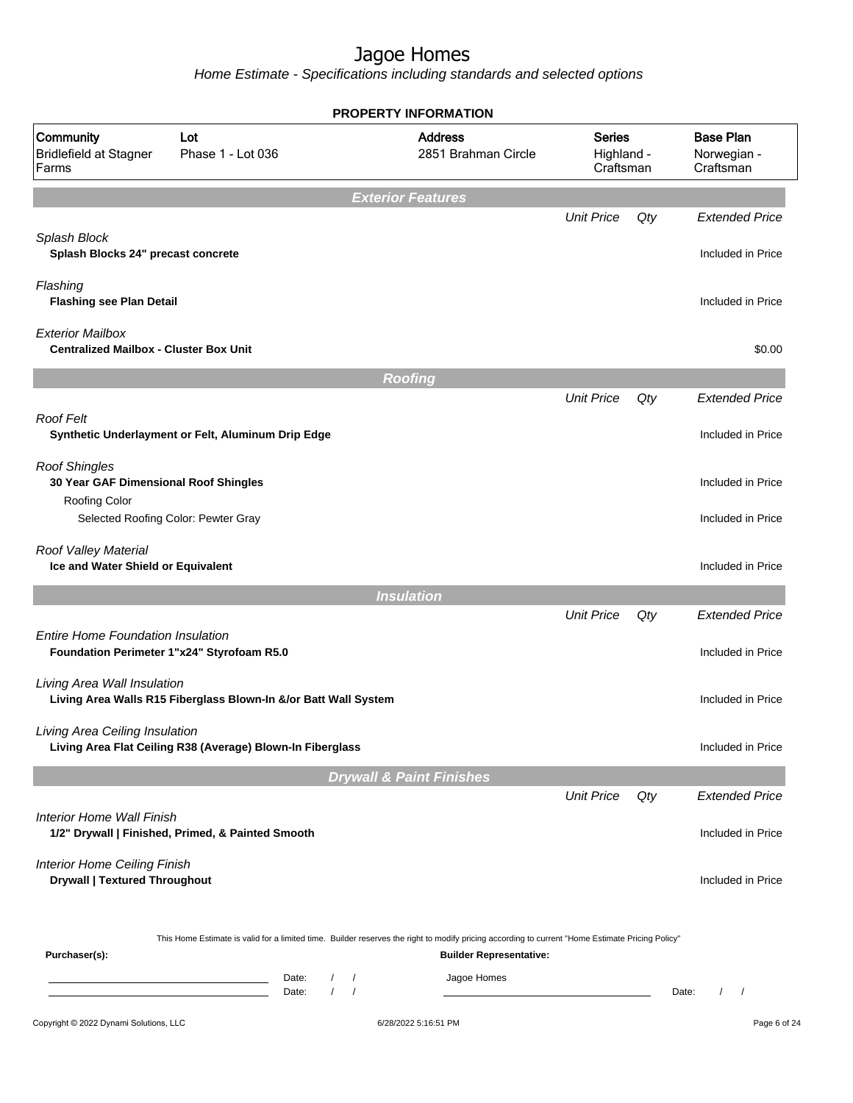|                                                                                |                                                                            | <b>PROPERTY INFORMATION</b>                                                                                                                                                        |                                          |     |                                              |
|--------------------------------------------------------------------------------|----------------------------------------------------------------------------|------------------------------------------------------------------------------------------------------------------------------------------------------------------------------------|------------------------------------------|-----|----------------------------------------------|
| Community<br><b>Bridlefield at Stagner</b><br>Farms                            | Lot<br>Phase 1 - Lot 036                                                   | <b>Address</b><br>2851 Brahman Circle                                                                                                                                              | <b>Series</b><br>Highland -<br>Craftsman |     | <b>Base Plan</b><br>Norwegian -<br>Craftsman |
|                                                                                |                                                                            | <b>Exterior Features</b>                                                                                                                                                           |                                          |     |                                              |
| Splash Block<br>Splash Blocks 24" precast concrete                             |                                                                            |                                                                                                                                                                                    | <b>Unit Price</b>                        | Qty | <b>Extended Price</b><br>Included in Price   |
| Flashing<br><b>Flashing see Plan Detail</b>                                    |                                                                            |                                                                                                                                                                                    |                                          |     | Included in Price                            |
| <b>Exterior Mailbox</b><br><b>Centralized Mailbox - Cluster Box Unit</b>       |                                                                            |                                                                                                                                                                                    |                                          |     | \$0.00                                       |
|                                                                                |                                                                            | <b>Roofing</b>                                                                                                                                                                     |                                          |     |                                              |
|                                                                                |                                                                            |                                                                                                                                                                                    | <b>Unit Price</b>                        | Qty | <b>Extended Price</b>                        |
| <b>Roof Felt</b>                                                               | Synthetic Underlayment or Felt, Aluminum Drip Edge                         |                                                                                                                                                                                    |                                          |     | Included in Price                            |
| <b>Roof Shingles</b><br>30 Year GAF Dimensional Roof Shingles<br>Roofing Color |                                                                            |                                                                                                                                                                                    |                                          |     | Included in Price                            |
|                                                                                | Selected Roofing Color: Pewter Gray                                        |                                                                                                                                                                                    |                                          |     | Included in Price                            |
| Roof Valley Material<br>Ice and Water Shield or Equivalent                     |                                                                            |                                                                                                                                                                                    |                                          |     | Included in Price                            |
|                                                                                |                                                                            | <b>Insulation</b>                                                                                                                                                                  |                                          |     |                                              |
|                                                                                |                                                                            |                                                                                                                                                                                    | <b>Unit Price</b>                        | Qty | <b>Extended Price</b>                        |
| <b>Entire Home Foundation Insulation</b>                                       | Foundation Perimeter 1"x24" Styrofoam R5.0                                 |                                                                                                                                                                                    |                                          |     | Included in Price                            |
| Living Area Wall Insulation                                                    | Living Area Walls R15 Fiberglass Blown-In &/or Batt Wall System            |                                                                                                                                                                                    |                                          |     | Included in Price                            |
| Living Area Ceiling Insulation                                                 | Living Area Flat Ceiling R38 (Average) Blown-In Fiberglass                 |                                                                                                                                                                                    |                                          |     | Included in Price                            |
|                                                                                |                                                                            | <b>Drywall &amp; Paint Finishes</b>                                                                                                                                                |                                          |     |                                              |
|                                                                                |                                                                            |                                                                                                                                                                                    | <b>Unit Price</b>                        | Qty | <b>Extended Price</b>                        |
| Interior Home Wall Finish                                                      | 1/2" Drywall   Finished, Primed, & Painted Smooth                          |                                                                                                                                                                                    |                                          |     | Included in Price                            |
| <b>Interior Home Ceiling Finish</b><br><b>Drywall   Textured Throughout</b>    |                                                                            |                                                                                                                                                                                    |                                          |     | Included in Price                            |
| Purchaser(s):                                                                  |                                                                            | This Home Estimate is valid for a limited time. Builder reserves the right to modify pricing according to current "Home Estimate Pricing Policy"<br><b>Builder Representative:</b> |                                          |     |                                              |
|                                                                                | Date:<br><u> 1989 - Johann Barn, mars ann an t-</u><br>$\sqrt{ }$<br>Date: | Jagoe Homes<br>$\prime$<br>$\sqrt{ }$                                                                                                                                              |                                          |     | Date:<br>$\prime$<br>$\sqrt{ }$              |
| Copyright © 2022 Dynami Solutions, LLC                                         |                                                                            | 6/28/2022 5:16:51 PM                                                                                                                                                               |                                          |     | Page 6 of 24                                 |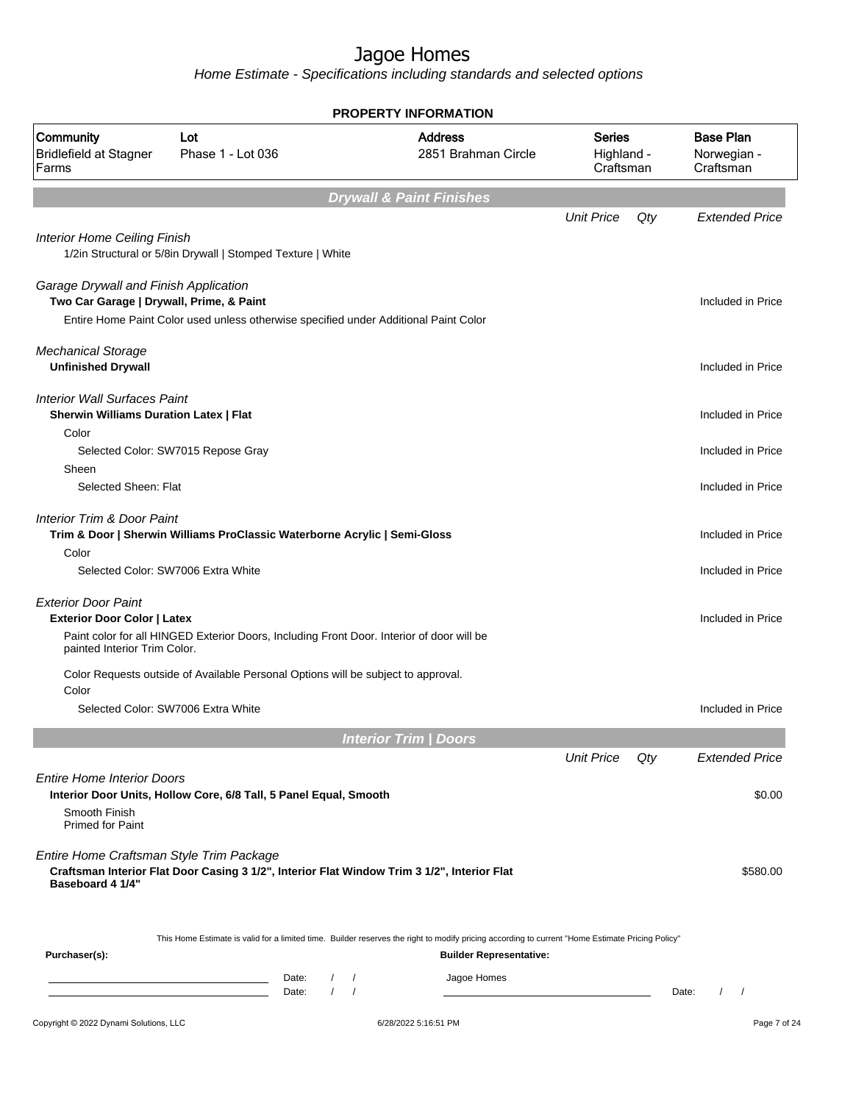|                                                                                                  |                                                                                             | <b>PROPERTY INFORMATION</b>                                                                                                                                                        |                                          |     |                                               |
|--------------------------------------------------------------------------------------------------|---------------------------------------------------------------------------------------------|------------------------------------------------------------------------------------------------------------------------------------------------------------------------------------|------------------------------------------|-----|-----------------------------------------------|
| Community<br><b>Bridlefield at Stagner</b><br>Farms                                              | Lot<br>Phase 1 - Lot 036                                                                    | <b>Address</b><br>2851 Brahman Circle                                                                                                                                              | <b>Series</b><br>Highland -<br>Craftsman |     | <b>Base Plan</b><br>Norwegian -<br>Craftsman  |
|                                                                                                  |                                                                                             | <b>Drywall &amp; Paint Finishes</b>                                                                                                                                                |                                          |     |                                               |
|                                                                                                  |                                                                                             |                                                                                                                                                                                    | <b>Unit Price</b>                        | Qty | <b>Extended Price</b>                         |
| <b>Interior Home Ceiling Finish</b>                                                              | 1/2in Structural or 5/8in Drywall   Stomped Texture   White                                 |                                                                                                                                                                                    |                                          |     |                                               |
| Garage Drywall and Finish Application<br>Two Car Garage   Drywall, Prime, & Paint                |                                                                                             |                                                                                                                                                                                    |                                          |     | Included in Price                             |
|                                                                                                  | Entire Home Paint Color used unless otherwise specified under Additional Paint Color        |                                                                                                                                                                                    |                                          |     |                                               |
| <b>Mechanical Storage</b><br><b>Unfinished Drywall</b>                                           |                                                                                             |                                                                                                                                                                                    |                                          |     | Included in Price                             |
| <b>Interior Wall Surfaces Paint</b>                                                              |                                                                                             |                                                                                                                                                                                    |                                          |     |                                               |
| <b>Sherwin Williams Duration Latex   Flat</b><br>Color                                           |                                                                                             |                                                                                                                                                                                    |                                          |     | Included in Price                             |
|                                                                                                  | Selected Color: SW7015 Repose Gray                                                          |                                                                                                                                                                                    |                                          |     | Included in Price                             |
| Sheen<br>Selected Sheen: Flat                                                                    |                                                                                             |                                                                                                                                                                                    |                                          |     | Included in Price                             |
| Interior Trim & Door Paint                                                                       | Trim & Door   Sherwin Williams ProClassic Waterborne Acrylic   Semi-Gloss                   |                                                                                                                                                                                    |                                          |     | Included in Price                             |
| Color                                                                                            | Selected Color: SW7006 Extra White                                                          |                                                                                                                                                                                    |                                          |     | Included in Price                             |
| <b>Exterior Door Paint</b><br><b>Exterior Door Color   Latex</b><br>painted Interior Trim Color. | Paint color for all HINGED Exterior Doors, Including Front Door. Interior of door will be   |                                                                                                                                                                                    |                                          |     | Included in Price                             |
|                                                                                                  | Color Requests outside of Available Personal Options will be subject to approval.           |                                                                                                                                                                                    |                                          |     |                                               |
| Color                                                                                            | Selected Color: SW7006 Extra White                                                          |                                                                                                                                                                                    |                                          |     | Included in Price                             |
|                                                                                                  |                                                                                             |                                                                                                                                                                                    |                                          |     |                                               |
|                                                                                                  |                                                                                             | <b>Interior Trim   Doors</b>                                                                                                                                                       |                                          |     |                                               |
|                                                                                                  |                                                                                             |                                                                                                                                                                                    | <b>Unit Price</b>                        | Qty | <b>Extended Price</b>                         |
| <b>Entire Home Interior Doors</b>                                                                | Interior Door Units, Hollow Core, 6/8 Tall, 5 Panel Equal, Smooth                           |                                                                                                                                                                                    |                                          |     | \$0.00                                        |
| Smooth Finish<br><b>Primed for Paint</b>                                                         |                                                                                             |                                                                                                                                                                                    |                                          |     |                                               |
| Entire Home Craftsman Style Trim Package<br>Baseboard 4 1/4"                                     | Craftsman Interior Flat Door Casing 3 1/2", Interior Flat Window Trim 3 1/2", Interior Flat |                                                                                                                                                                                    |                                          |     | \$580.00                                      |
| Purchaser(s):                                                                                    |                                                                                             | This Home Estimate is valid for a limited time. Builder reserves the right to modify pricing according to current "Home Estimate Pricing Policy"<br><b>Builder Representative:</b> |                                          |     |                                               |
|                                                                                                  | Date:<br>$\sqrt{2}$<br><u> 1980 - Jan Alexandria (</u><br>Date:<br>$\prime$                 | Jagoe Homes<br>$\sqrt{ }$<br>$\sqrt{ }$                                                                                                                                            |                                          |     | Date:<br>$\prime$<br>$\overline{\phantom{a}}$ |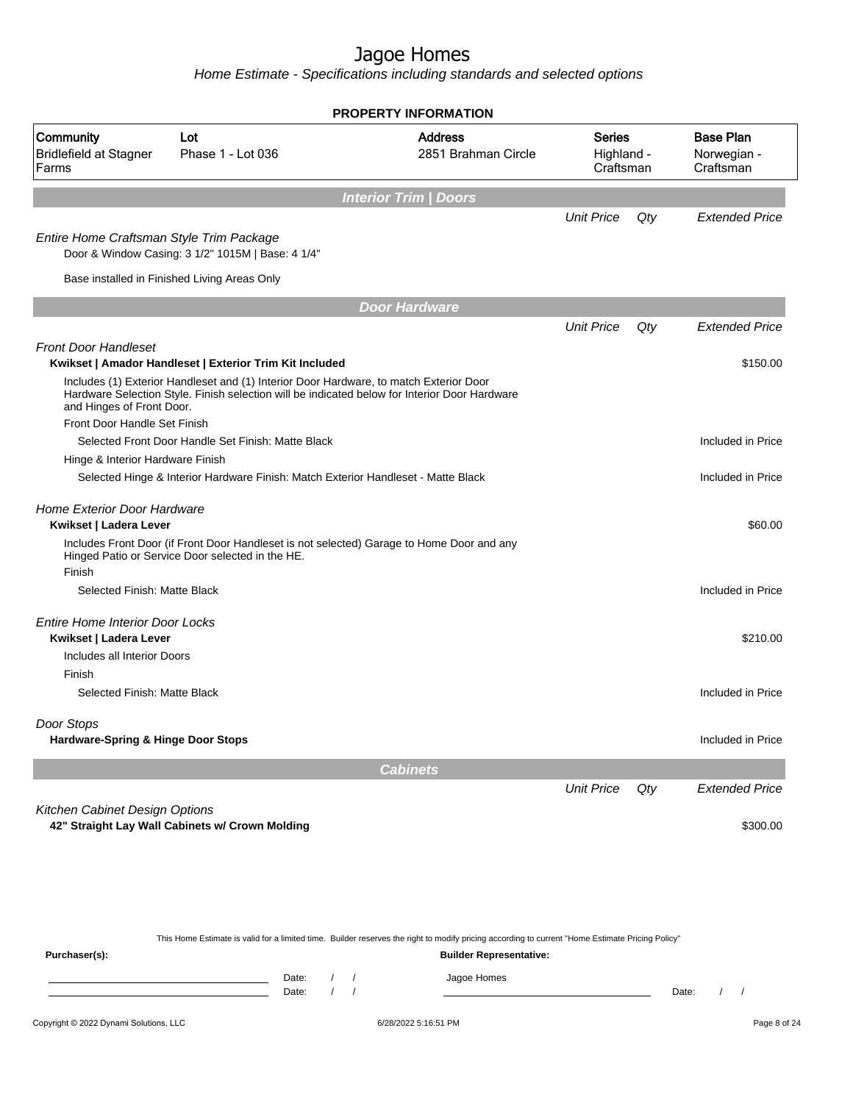Home Estimate - Specifications including standards and selected options

|                                                              |                                                                                                                                                                                         | <b>PROPERTY INFORMATION</b>           |                                   |     |                                              |
|--------------------------------------------------------------|-----------------------------------------------------------------------------------------------------------------------------------------------------------------------------------------|---------------------------------------|-----------------------------------|-----|----------------------------------------------|
| <b>Community</b><br><b>Bridlefield at Stagner</b><br>Farms   | Lot<br>Phase 1 - Lot 036                                                                                                                                                                | <b>Address</b><br>2851 Brahman Circle | Series<br>Highland -<br>Craftsman |     | <b>Base Plan</b><br>Norwegian -<br>Craftsman |
|                                                              |                                                                                                                                                                                         | <b>Interior Trim / Doors</b>          |                                   |     |                                              |
|                                                              |                                                                                                                                                                                         |                                       | <b>Unit Price</b>                 | Qty | <b>Extended Price</b>                        |
| Entire Home Craftsman Style Trim Package                     | Door & Window Casing: 3 1/2" 1015M   Base: 4 1/4"                                                                                                                                       |                                       |                                   |     |                                              |
|                                                              | Base installed in Finished Living Areas Only                                                                                                                                            |                                       |                                   |     |                                              |
|                                                              |                                                                                                                                                                                         | <b>Door Hardware</b>                  |                                   |     |                                              |
|                                                              |                                                                                                                                                                                         |                                       | <b>Unit Price</b>                 | Qty | <b>Extended Price</b>                        |
| <b>Front Door Handleset</b>                                  |                                                                                                                                                                                         |                                       |                                   |     |                                              |
|                                                              | Kwikset   Amador Handleset   Exterior Trim Kit Included                                                                                                                                 |                                       |                                   |     | \$150.00                                     |
| and Hinges of Front Door.                                    | Includes (1) Exterior Handleset and (1) Interior Door Hardware, to match Exterior Door<br>Hardware Selection Style. Finish selection will be indicated below for Interior Door Hardware |                                       |                                   |     |                                              |
| Front Door Handle Set Finish                                 |                                                                                                                                                                                         |                                       |                                   |     |                                              |
|                                                              | Selected Front Door Handle Set Finish: Matte Black                                                                                                                                      |                                       |                                   |     | Included in Price                            |
| Hinge & Interior Hardware Finish                             |                                                                                                                                                                                         |                                       |                                   |     |                                              |
|                                                              | Selected Hinge & Interior Hardware Finish: Match Exterior Handleset - Matte Black                                                                                                       |                                       |                                   |     | Included in Price                            |
| <b>Home Exterior Door Hardware</b><br>Kwikset   Ladera Lever |                                                                                                                                                                                         |                                       |                                   |     | \$60.00                                      |
|                                                              | Includes Front Door (if Front Door Handleset is not selected) Garage to Home Door and any<br>Hinged Patio or Service Door selected in the HE.                                           |                                       |                                   |     |                                              |
| Finish                                                       |                                                                                                                                                                                         |                                       |                                   |     |                                              |
| Selected Finish: Matte Black                                 |                                                                                                                                                                                         |                                       |                                   |     | Included in Price                            |
| <b>Entire Home Interior Door Locks</b>                       |                                                                                                                                                                                         |                                       |                                   |     |                                              |
| Kwikset   Ladera Lever                                       |                                                                                                                                                                                         |                                       |                                   |     | \$210.00                                     |
| Includes all Interior Doors                                  |                                                                                                                                                                                         |                                       |                                   |     |                                              |
| Finish                                                       |                                                                                                                                                                                         |                                       |                                   |     |                                              |
| Selected Finish: Matte Black                                 |                                                                                                                                                                                         |                                       |                                   |     | Included in Price                            |
| Door Stops<br>Hardware-Spring & Hinge Door Stops             |                                                                                                                                                                                         |                                       |                                   |     | Included in Price                            |
|                                                              |                                                                                                                                                                                         | <b>Cabinets</b>                       |                                   |     |                                              |
|                                                              |                                                                                                                                                                                         |                                       | <b>Unit Price</b>                 | Qty | <b>Extended Price</b>                        |
| Kitchen Cabinet Design Options                               |                                                                                                                                                                                         |                                       |                                   |     |                                              |
|                                                              | 42" Straight Lay Wall Cabinets w/ Crown Molding                                                                                                                                         |                                       |                                   |     | \$300.00                                     |
|                                                              |                                                                                                                                                                                         |                                       |                                   |     |                                              |

Copyright © 2022 Dynami Solutions, LLC <br>
6/28/2022 5:16:51 PM example and the Copyright © 2022 Dynami Solutions, LLC This Home Estimate is valid for a limited time. Builder reserves the right to modify pricing according to current "Home Estimate Pricing Policy" **Purchaser(s): Builder Representative:** Date: / / Jagoe Homes<br>Date: / / Jagoe Homes Date: / / Date: / /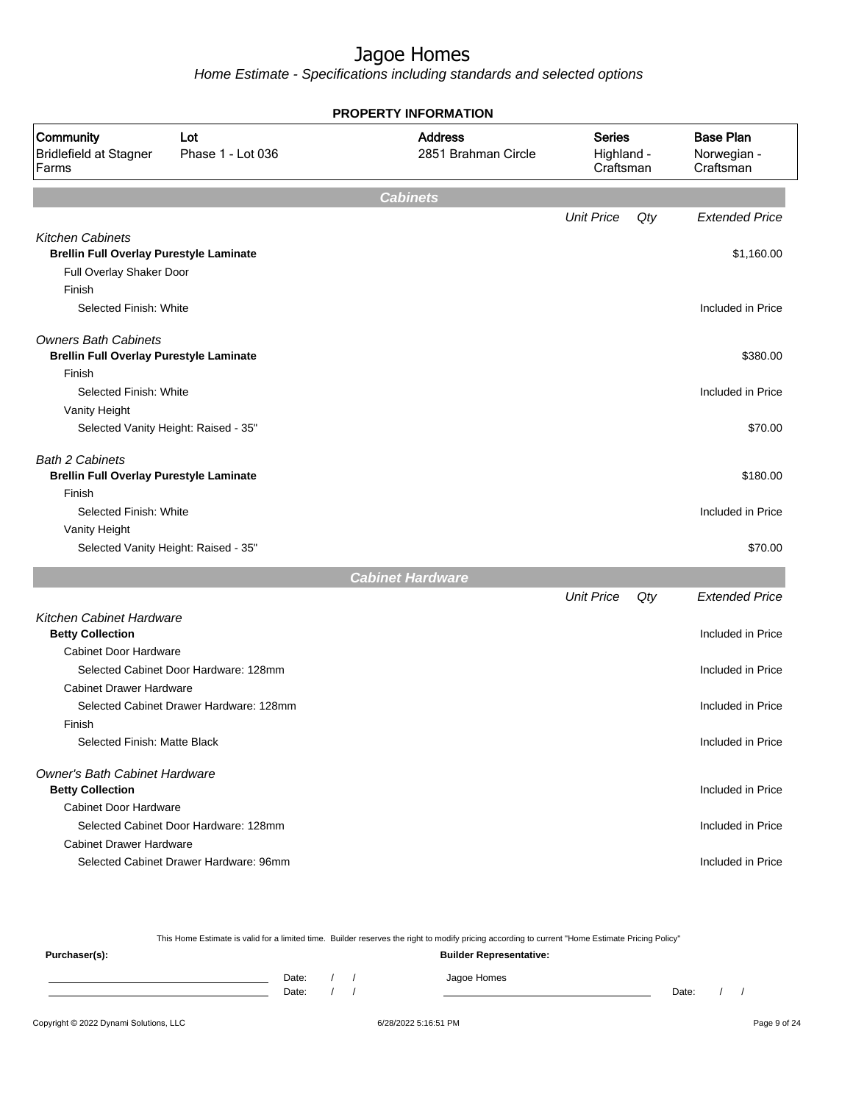Home Estimate - Specifications including standards and selected options

|                                                     |                                         | <b>PROPERTY INFORMATION</b>           |                                          |     |                                              |
|-----------------------------------------------------|-----------------------------------------|---------------------------------------|------------------------------------------|-----|----------------------------------------------|
| Community<br><b>Bridlefield at Stagner</b><br>Farms | Lot<br>Phase 1 - Lot 036                | <b>Address</b><br>2851 Brahman Circle | <b>Series</b><br>Highland -<br>Craftsman |     | <b>Base Plan</b><br>Norwegian -<br>Craftsman |
|                                                     |                                         | <b>Cabinets</b>                       |                                          |     |                                              |
|                                                     |                                         |                                       | <b>Unit Price</b>                        | Qty | <b>Extended Price</b>                        |
| <b>Kitchen Cabinets</b>                             |                                         |                                       |                                          |     |                                              |
| <b>Brellin Full Overlay Purestyle Laminate</b>      |                                         |                                       |                                          |     | \$1,160.00                                   |
| Full Overlay Shaker Door                            |                                         |                                       |                                          |     |                                              |
| Finish                                              |                                         |                                       |                                          |     |                                              |
| Selected Finish: White                              |                                         |                                       |                                          |     | Included in Price                            |
| <b>Owners Bath Cabinets</b>                         |                                         |                                       |                                          |     |                                              |
| <b>Brellin Full Overlay Purestyle Laminate</b>      |                                         |                                       |                                          |     | \$380.00                                     |
| Finish                                              |                                         |                                       |                                          |     |                                              |
| Selected Finish: White                              |                                         |                                       |                                          |     | Included in Price                            |
| Vanity Height                                       |                                         |                                       |                                          |     |                                              |
| Selected Vanity Height: Raised - 35"                |                                         |                                       |                                          |     | \$70.00                                      |
| <b>Bath 2 Cabinets</b>                              |                                         |                                       |                                          |     |                                              |
| <b>Brellin Full Overlay Purestyle Laminate</b>      |                                         |                                       |                                          |     | \$180.00                                     |
| Finish                                              |                                         |                                       |                                          |     |                                              |
| Selected Finish: White                              |                                         |                                       |                                          |     | Included in Price                            |
| Vanity Height                                       |                                         |                                       |                                          |     |                                              |
| Selected Vanity Height: Raised - 35"                |                                         |                                       |                                          |     | \$70.00                                      |
|                                                     |                                         | <b>Cabinet Hardware</b>               |                                          |     |                                              |
|                                                     |                                         |                                       | <b>Unit Price</b>                        | Qty | <b>Extended Price</b>                        |
| <b>Kitchen Cabinet Hardware</b>                     |                                         |                                       |                                          |     |                                              |
| <b>Betty Collection</b>                             |                                         |                                       |                                          |     | Included in Price                            |
| <b>Cabinet Door Hardware</b>                        |                                         |                                       |                                          |     |                                              |
|                                                     | Selected Cabinet Door Hardware: 128mm   |                                       |                                          |     | Included in Price                            |
| <b>Cabinet Drawer Hardware</b>                      |                                         |                                       |                                          |     |                                              |
|                                                     | Selected Cabinet Drawer Hardware: 128mm |                                       |                                          |     | Included in Price                            |
| Finish                                              |                                         |                                       |                                          |     |                                              |
| Selected Finish: Matte Black                        |                                         |                                       |                                          |     | Included in Price                            |
| Owner's Bath Cabinet Hardware                       |                                         |                                       |                                          |     |                                              |
| <b>Betty Collection</b>                             |                                         |                                       |                                          |     | Included in Price                            |
| Cabinet Door Hardware                               |                                         |                                       |                                          |     |                                              |
|                                                     | Selected Cabinet Door Hardware: 128mm   |                                       |                                          |     | Included in Price                            |
| <b>Cabinet Drawer Hardware</b>                      |                                         |                                       |                                          |     |                                              |
|                                                     | Selected Cabinet Drawer Hardware: 96mm  |                                       |                                          |     | Included in Price                            |
|                                                     |                                         |                                       |                                          |     |                                              |

This Home Estimate is valid for a limited time. Builder reserves the right to modify pricing according to current "Home Estimate Pricing Policy" **Purchaser(s): Builder Representative:**

Date: / / Jagoe Homes<br>Date: / / Jagoe Homes Date: / / **Date: / / 2006** Date: / / **Date: / / / 2006** Date: / / / 2006 Date: / / / 2006 Date: / / / 2006 Date: / / / 2007 Date: / / / 2007 Date: / / / 2008 Date: / / / 2008 Date: / / / 2008 Date: / / / 2008 Date: / / / 2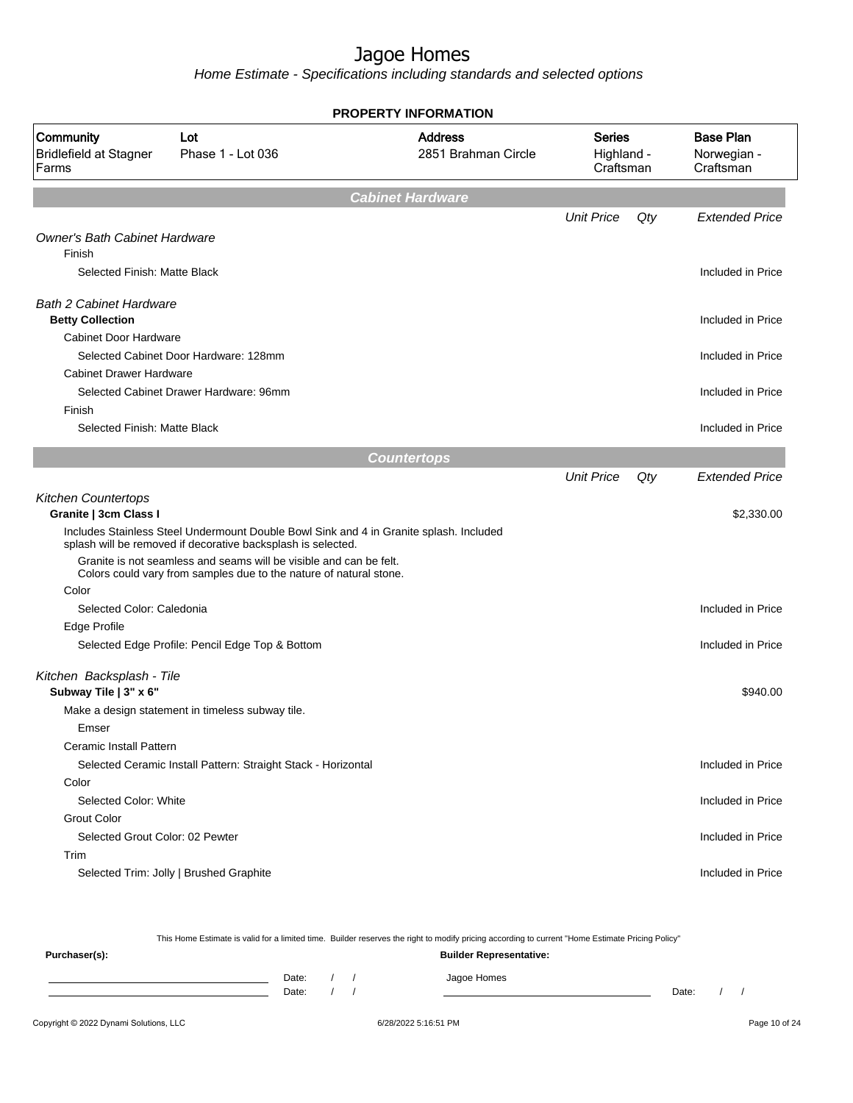Home Estimate - Specifications including standards and selected options

| Community<br><b>Bridlefield at Stagner</b><br>Farms       | Lot<br>Phase 1 - Lot 036                                                                                                                               | <b>Address</b><br>2851 Brahman Circle | <b>Series</b><br>Highland -<br>Craftsman |     | <b>Base Plan</b><br>Norwegian -<br>Craftsman |
|-----------------------------------------------------------|--------------------------------------------------------------------------------------------------------------------------------------------------------|---------------------------------------|------------------------------------------|-----|----------------------------------------------|
|                                                           |                                                                                                                                                        | <b>Cabinet Hardware</b>               |                                          |     |                                              |
|                                                           |                                                                                                                                                        |                                       | <b>Unit Price</b>                        | Qty | <b>Extended Price</b>                        |
| <b>Owner's Bath Cabinet Hardware</b><br>Finish            |                                                                                                                                                        |                                       |                                          |     |                                              |
| Selected Finish: Matte Black                              |                                                                                                                                                        |                                       |                                          |     | Included in Price                            |
| <b>Bath 2 Cabinet Hardware</b><br><b>Betty Collection</b> |                                                                                                                                                        |                                       |                                          |     | Included in Price                            |
| <b>Cabinet Door Hardware</b>                              |                                                                                                                                                        |                                       |                                          |     |                                              |
|                                                           | Selected Cabinet Door Hardware: 128mm                                                                                                                  |                                       |                                          |     | Included in Price                            |
| <b>Cabinet Drawer Hardware</b>                            |                                                                                                                                                        |                                       |                                          |     |                                              |
|                                                           | Selected Cabinet Drawer Hardware: 96mm                                                                                                                 |                                       |                                          |     | Included in Price                            |
| Finish                                                    |                                                                                                                                                        |                                       |                                          |     |                                              |
| Selected Finish: Matte Black                              |                                                                                                                                                        |                                       |                                          |     | Included in Price                            |
|                                                           |                                                                                                                                                        | <b>Countertops</b>                    |                                          |     |                                              |
|                                                           |                                                                                                                                                        |                                       | <b>Unit Price</b>                        | Qty | <b>Extended Price</b>                        |
| <b>Kitchen Countertops</b>                                |                                                                                                                                                        |                                       |                                          |     |                                              |
| Granite   3cm Class I                                     |                                                                                                                                                        |                                       |                                          |     | \$2,330.00                                   |
|                                                           | Includes Stainless Steel Undermount Double Bowl Sink and 4 in Granite splash. Included<br>splash will be removed if decorative backsplash is selected. |                                       |                                          |     |                                              |
|                                                           | Granite is not seamless and seams will be visible and can be felt.<br>Colors could vary from samples due to the nature of natural stone.               |                                       |                                          |     |                                              |
| Color                                                     |                                                                                                                                                        |                                       |                                          |     |                                              |
| Selected Color: Caledonia                                 |                                                                                                                                                        |                                       |                                          |     | Included in Price                            |
| Edge Profile                                              |                                                                                                                                                        |                                       |                                          |     |                                              |
|                                                           | Selected Edge Profile: Pencil Edge Top & Bottom                                                                                                        |                                       |                                          |     | Included in Price                            |
| Kitchen Backsplash - Tile<br>Subway Tile   3" x 6"        |                                                                                                                                                        |                                       |                                          |     | \$940.00                                     |
|                                                           | Make a design statement in timeless subway tile.                                                                                                       |                                       |                                          |     |                                              |
| Emser                                                     |                                                                                                                                                        |                                       |                                          |     |                                              |
| Ceramic Install Pattern                                   |                                                                                                                                                        |                                       |                                          |     |                                              |
|                                                           | Selected Ceramic Install Pattern: Straight Stack - Horizontal                                                                                          |                                       |                                          |     | Included in Price                            |
| Color                                                     |                                                                                                                                                        |                                       |                                          |     |                                              |
| Selected Color: White                                     |                                                                                                                                                        |                                       |                                          |     | Included in Price                            |
| <b>Grout Color</b>                                        |                                                                                                                                                        |                                       |                                          |     |                                              |
| Selected Grout Color: 02 Pewter                           |                                                                                                                                                        |                                       |                                          |     | Included in Price                            |
| Trim                                                      |                                                                                                                                                        |                                       |                                          |     |                                              |
|                                                           | Selected Trim: Jolly   Brushed Graphite                                                                                                                |                                       |                                          |     | Included in Price                            |

**PROPERTY INFORMATION**

This Home Estimate is valid for a limited time. Builder reserves the right to modify pricing according to current "Home Estimate Pricing Policy"

**Purchaser(s): Builder Representative:** Date: / / Jagoe Homes<br>Date: / / Jagoe Homes Date: / / Date: / /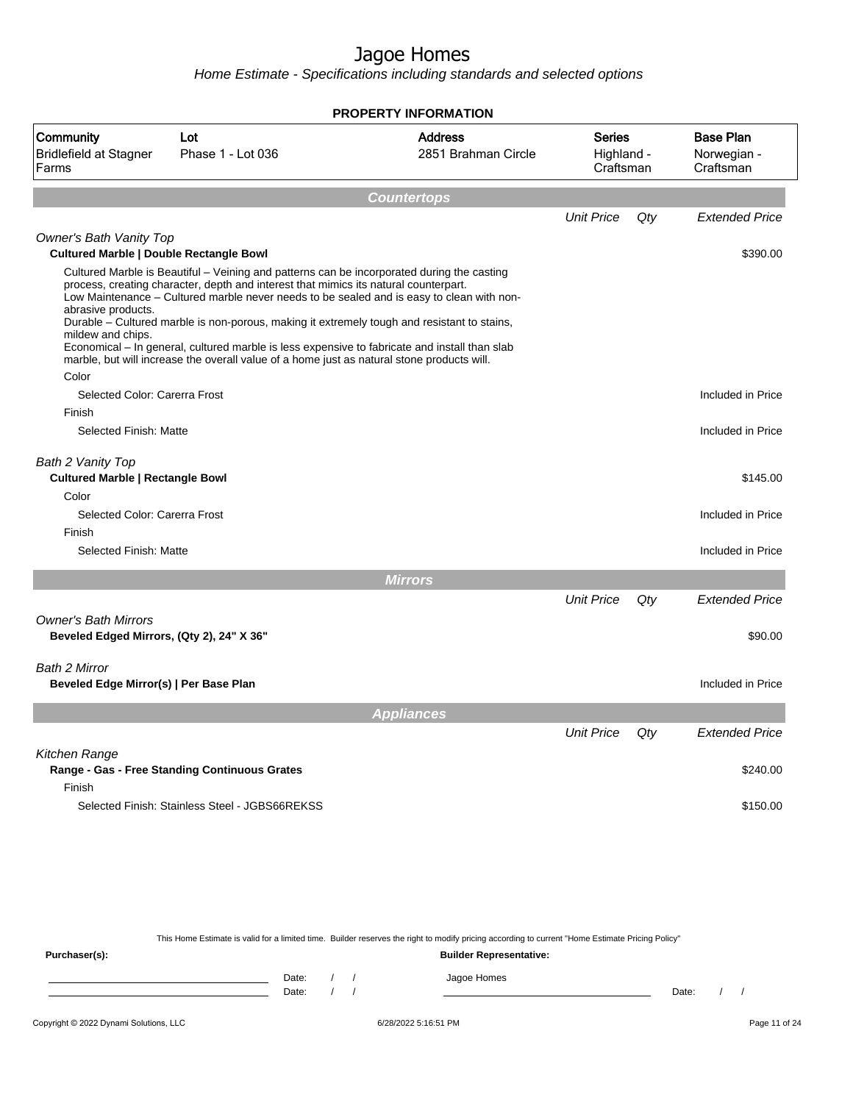Home Estimate - Specifications including standards and selected options

|                                                                          |                                                                                                                                                                                                                                                                                                                                                                                                                                                                                                                                                                               | <b>PROPERTY INFORMATION</b> |                         |     |                          |
|--------------------------------------------------------------------------|-------------------------------------------------------------------------------------------------------------------------------------------------------------------------------------------------------------------------------------------------------------------------------------------------------------------------------------------------------------------------------------------------------------------------------------------------------------------------------------------------------------------------------------------------------------------------------|-----------------------------|-------------------------|-----|--------------------------|
| Community                                                                | Lot                                                                                                                                                                                                                                                                                                                                                                                                                                                                                                                                                                           | <b>Address</b>              | Series                  |     | <b>Base Plan</b>         |
| <b>Bridlefield at Stagner</b><br>Farms                                   | Phase 1 - Lot 036                                                                                                                                                                                                                                                                                                                                                                                                                                                                                                                                                             | 2851 Brahman Circle         | Highland -<br>Craftsman |     | Norwegian -<br>Craftsman |
|                                                                          |                                                                                                                                                                                                                                                                                                                                                                                                                                                                                                                                                                               |                             |                         |     |                          |
|                                                                          |                                                                                                                                                                                                                                                                                                                                                                                                                                                                                                                                                                               | <b>Countertops</b>          |                         |     |                          |
|                                                                          |                                                                                                                                                                                                                                                                                                                                                                                                                                                                                                                                                                               |                             | <b>Unit Price</b>       | Qty | <b>Extended Price</b>    |
| Owner's Bath Vanity Top<br>Cultured Marble   Double Rectangle Bowl       |                                                                                                                                                                                                                                                                                                                                                                                                                                                                                                                                                                               |                             |                         |     | \$390.00                 |
| abrasive products.<br>mildew and chips.<br>Color                         | Cultured Marble is Beautiful – Veining and patterns can be incorporated during the casting<br>process, creating character, depth and interest that mimics its natural counterpart.<br>Low Maintenance - Cultured marble never needs to be sealed and is easy to clean with non-<br>Durable - Cultured marble is non-porous, making it extremely tough and resistant to stains,<br>Economical – In general, cultured marble is less expensive to fabricate and install than slab<br>marble, but will increase the overall value of a home just as natural stone products will. |                             |                         |     |                          |
| Selected Color: Carerra Frost                                            |                                                                                                                                                                                                                                                                                                                                                                                                                                                                                                                                                                               |                             |                         |     | Included in Price        |
| Finish                                                                   |                                                                                                                                                                                                                                                                                                                                                                                                                                                                                                                                                                               |                             |                         |     |                          |
| Selected Finish: Matte                                                   |                                                                                                                                                                                                                                                                                                                                                                                                                                                                                                                                                                               |                             |                         |     | Included in Price        |
| Bath 2 Vanity Top<br><b>Cultured Marble   Rectangle Bowl</b><br>Color    |                                                                                                                                                                                                                                                                                                                                                                                                                                                                                                                                                                               |                             |                         |     | \$145.00                 |
| Selected Color: Carerra Frost                                            |                                                                                                                                                                                                                                                                                                                                                                                                                                                                                                                                                                               |                             |                         |     | Included in Price        |
| Finish                                                                   |                                                                                                                                                                                                                                                                                                                                                                                                                                                                                                                                                                               |                             |                         |     |                          |
| Selected Finish: Matte                                                   |                                                                                                                                                                                                                                                                                                                                                                                                                                                                                                                                                                               |                             |                         |     | Included in Price        |
|                                                                          |                                                                                                                                                                                                                                                                                                                                                                                                                                                                                                                                                                               | <b>Mirrors</b>              |                         |     |                          |
|                                                                          |                                                                                                                                                                                                                                                                                                                                                                                                                                                                                                                                                                               |                             | <b>Unit Price</b>       | Qty | <b>Extended Price</b>    |
| <b>Owner's Bath Mirrors</b><br>Beveled Edged Mirrors, (Qty 2), 24" X 36" |                                                                                                                                                                                                                                                                                                                                                                                                                                                                                                                                                                               |                             |                         |     | \$90.00                  |
| <b>Bath 2 Mirror</b><br>Beveled Edge Mirror(s)   Per Base Plan           |                                                                                                                                                                                                                                                                                                                                                                                                                                                                                                                                                                               |                             |                         |     | Included in Price        |
|                                                                          |                                                                                                                                                                                                                                                                                                                                                                                                                                                                                                                                                                               | <b>Appliances</b>           |                         |     |                          |
|                                                                          |                                                                                                                                                                                                                                                                                                                                                                                                                                                                                                                                                                               |                             | <b>Unit Price</b>       | Qty | <b>Extended Price</b>    |
| Kitchen Range                                                            | Range - Gas - Free Standing Continuous Grates                                                                                                                                                                                                                                                                                                                                                                                                                                                                                                                                 |                             |                         |     | \$240.00                 |
| Finish                                                                   | Selected Finish: Stainless Steel - JGBS66REKSS                                                                                                                                                                                                                                                                                                                                                                                                                                                                                                                                |                             |                         |     | \$150.00                 |

This Home Estimate is valid for a limited time. Builder reserves the right to modify pricing according to current "Home Estimate Pricing Policy"

**Purchaser(s): Builder Representative:** Date: / / Jagoe Homes<br>Date: / / Jagoe Homes Date: / / Date: / /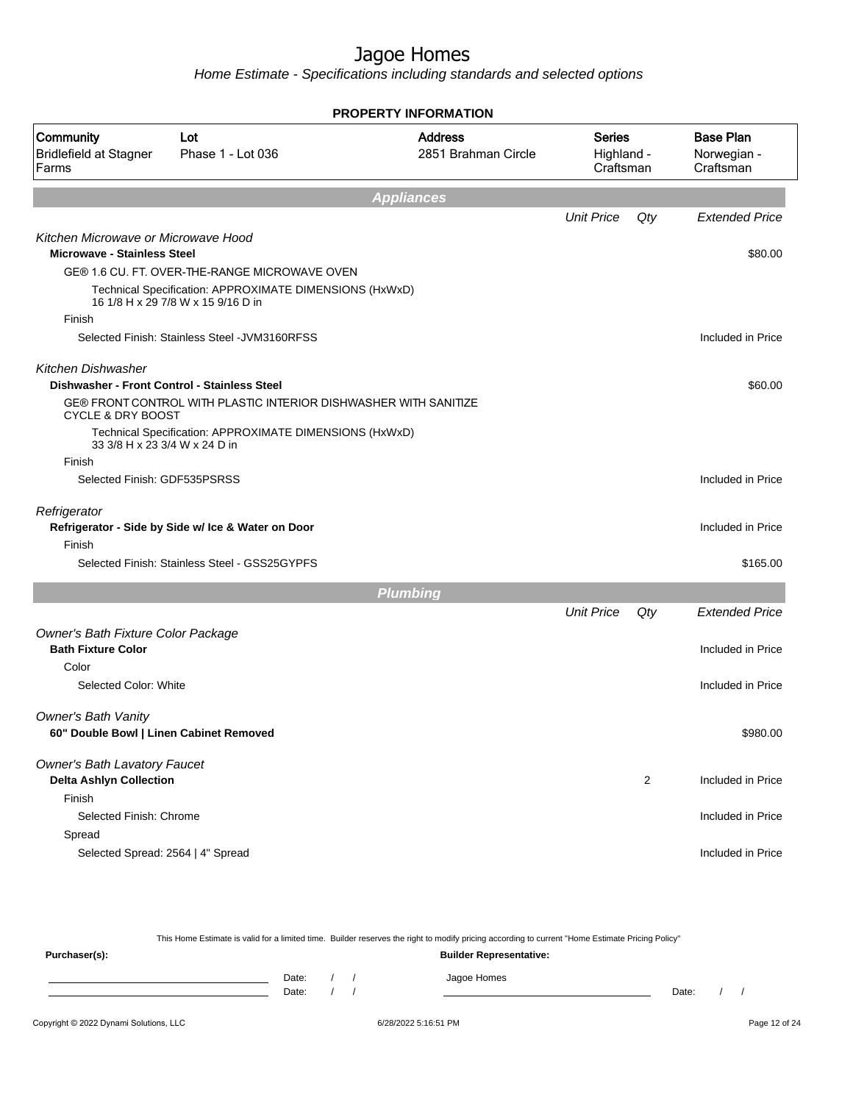Home Estimate - Specifications including standards and selected options

|                                                     |                                                                                               | <b>PROPERTY INFORMATION</b>           |                                          |     |                                              |
|-----------------------------------------------------|-----------------------------------------------------------------------------------------------|---------------------------------------|------------------------------------------|-----|----------------------------------------------|
| <b>Community</b><br>Bridlefield at Stagner<br>Farms | Lot<br>Phase 1 - Lot 036                                                                      | <b>Address</b><br>2851 Brahman Circle | <b>Series</b><br>Highland -<br>Craftsman |     | <b>Base Plan</b><br>Norwegian -<br>Craftsman |
|                                                     |                                                                                               | <b>Appliances</b>                     |                                          |     |                                              |
|                                                     |                                                                                               |                                       | <b>Unit Price</b>                        | Qty | <b>Extended Price</b>                        |
| Kitchen Microwave or Microwave Hood                 |                                                                                               |                                       |                                          |     |                                              |
| <b>Microwave - Stainless Steel</b>                  |                                                                                               |                                       |                                          |     | \$80.00                                      |
|                                                     | GE® 1.6 CU. FT. OVER-THE-RANGE MICROWAVE OVEN                                                 |                                       |                                          |     |                                              |
|                                                     | Technical Specification: APPROXIMATE DIMENSIONS (HxWxD)<br>16 1/8 H x 29 7/8 W x 15 9/16 D in |                                       |                                          |     |                                              |
| Finish                                              |                                                                                               |                                       |                                          |     |                                              |
|                                                     | Selected Finish: Stainless Steel - JVM3160RFSS                                                |                                       |                                          |     | Included in Price                            |
| Kitchen Dishwasher                                  |                                                                                               |                                       |                                          |     |                                              |
|                                                     | Dishwasher - Front Control - Stainless Steel                                                  |                                       |                                          |     | \$60.00                                      |
| <b>CYCLE &amp; DRY BOOST</b>                        | GE® FRONT CONTROL WITH PLASTIC INTERIOR DISHWASHER WITH SANITIZE                              |                                       |                                          |     |                                              |
|                                                     | Technical Specification: APPROXIMATE DIMENSIONS (HxWxD)                                       |                                       |                                          |     |                                              |
| 33 3/8 H x 23 3/4 W x 24 D in                       |                                                                                               |                                       |                                          |     |                                              |
| Finish                                              |                                                                                               |                                       |                                          |     |                                              |
| Selected Finish: GDF535PSRSS                        |                                                                                               |                                       |                                          |     | Included in Price                            |
| Refrigerator                                        |                                                                                               |                                       |                                          |     |                                              |
|                                                     | Refrigerator - Side by Side w/ Ice & Water on Door                                            |                                       |                                          |     | Included in Price                            |
| Finish                                              |                                                                                               |                                       |                                          |     |                                              |
|                                                     | Selected Finish: Stainless Steel - GSS25GYPFS                                                 |                                       |                                          |     | \$165.00                                     |
|                                                     |                                                                                               | <b>Plumbing</b>                       |                                          |     |                                              |
|                                                     |                                                                                               |                                       | <b>Unit Price</b>                        | Qty | <b>Extended Price</b>                        |
| Owner's Bath Fixture Color Package                  |                                                                                               |                                       |                                          |     |                                              |
| <b>Bath Fixture Color</b>                           |                                                                                               |                                       |                                          |     | Included in Price                            |
| Color                                               |                                                                                               |                                       |                                          |     |                                              |
| Selected Color: White                               |                                                                                               |                                       |                                          |     | Included in Price                            |
| <b>Owner's Bath Vanity</b>                          |                                                                                               |                                       |                                          |     |                                              |
| 60" Double Bowl   Linen Cabinet Removed             |                                                                                               |                                       |                                          |     | \$980.00                                     |
| <b>Owner's Bath Lavatory Faucet</b>                 |                                                                                               |                                       |                                          |     |                                              |
| <b>Delta Ashlyn Collection</b>                      |                                                                                               |                                       |                                          | 2   | Included in Price                            |
| Finish                                              |                                                                                               |                                       |                                          |     |                                              |
| Selected Finish: Chrome                             |                                                                                               |                                       |                                          |     | Included in Price                            |
| Spread                                              |                                                                                               |                                       |                                          |     |                                              |
| Selected Spread: 2564   4" Spread                   |                                                                                               |                                       |                                          |     | Included in Price                            |
|                                                     |                                                                                               |                                       |                                          |     |                                              |

This Home Estimate is valid for a limited time. Builder reserves the right to modify pricing according to current "Home Estimate Pricing Policy" **Purchaser(s): Builder Representative:** Date: / / Jagoe Homes<br>Date: / / Jagoe Homes Date: / / **Date: / / 2006** Date: / / / Date: / / / Date: / / / 2006 Date: / / / 2006 Date: / / / 2006 Date: / / / 2006 Date: / / / 2007 Date: / / / 2007 Date: / / / 2007 Date: / / / 2007 Date: / / / 2007 Date: / / / 2007 D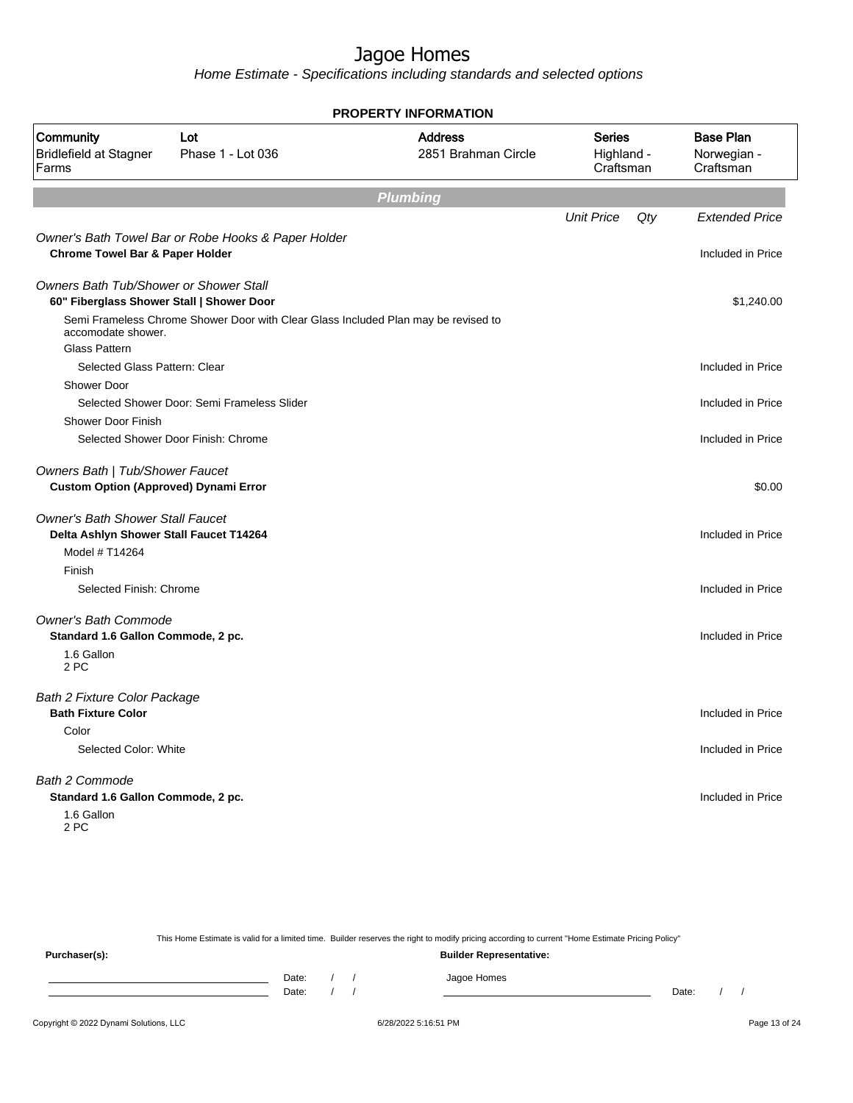Home Estimate - Specifications including standards and selected options

|                                                                                     |                                                                                    | <b>LITT IN VINILATION</b>             |                                          |     |                                              |
|-------------------------------------------------------------------------------------|------------------------------------------------------------------------------------|---------------------------------------|------------------------------------------|-----|----------------------------------------------|
| Community<br><b>Bridlefield at Stagner</b><br>Farms                                 | Lot<br>Phase 1 - Lot 036                                                           | <b>Address</b><br>2851 Brahman Circle | <b>Series</b><br>Highland -<br>Craftsman |     | <b>Base Plan</b><br>Norwegian -<br>Craftsman |
|                                                                                     |                                                                                    | <b>Plumbing</b>                       |                                          |     |                                              |
|                                                                                     |                                                                                    |                                       | <b>Unit Price</b>                        | Qty | <b>Extended Price</b>                        |
|                                                                                     | Owner's Bath Towel Bar or Robe Hooks & Paper Holder                                |                                       |                                          |     |                                              |
| <b>Chrome Towel Bar &amp; Paper Holder</b>                                          |                                                                                    |                                       |                                          |     | Included in Price                            |
| Owners Bath Tub/Shower or Shower Stall<br>60" Fiberglass Shower Stall   Shower Door |                                                                                    |                                       |                                          |     | \$1,240.00                                   |
| accomodate shower.                                                                  | Semi Frameless Chrome Shower Door with Clear Glass Included Plan may be revised to |                                       |                                          |     |                                              |
| <b>Glass Pattern</b>                                                                |                                                                                    |                                       |                                          |     |                                              |
| Selected Glass Pattern: Clear                                                       |                                                                                    |                                       |                                          |     | Included in Price                            |
| Shower Door                                                                         | Selected Shower Door: Semi Frameless Slider                                        |                                       |                                          |     | Included in Price                            |
| <b>Shower Door Finish</b>                                                           |                                                                                    |                                       |                                          |     |                                              |
|                                                                                     | Selected Shower Door Finish: Chrome                                                |                                       |                                          |     | Included in Price                            |
| Owners Bath   Tub/Shower Faucet<br><b>Custom Option (Approved) Dynami Error</b>     |                                                                                    |                                       |                                          |     | \$0.00                                       |
| <b>Owner's Bath Shower Stall Faucet</b><br>Delta Ashlyn Shower Stall Faucet T14264  |                                                                                    |                                       |                                          |     | Included in Price                            |
| Model # T14264                                                                      |                                                                                    |                                       |                                          |     |                                              |
| Finish                                                                              |                                                                                    |                                       |                                          |     |                                              |
| Selected Finish: Chrome                                                             |                                                                                    |                                       |                                          |     | Included in Price                            |
| <b>Owner's Bath Commode</b>                                                         |                                                                                    |                                       |                                          |     |                                              |
| Standard 1.6 Gallon Commode, 2 pc.                                                  |                                                                                    |                                       |                                          |     | Included in Price                            |
| 1.6 Gallon<br>2 PC                                                                  |                                                                                    |                                       |                                          |     |                                              |
| <b>Bath 2 Fixture Color Package</b>                                                 |                                                                                    |                                       |                                          |     |                                              |
| <b>Bath Fixture Color</b>                                                           |                                                                                    |                                       |                                          |     | Included in Price                            |
| Color                                                                               |                                                                                    |                                       |                                          |     |                                              |
| Selected Color: White                                                               |                                                                                    |                                       |                                          |     | Included in Price                            |
| <b>Bath 2 Commode</b>                                                               |                                                                                    |                                       |                                          |     |                                              |
| Standard 1.6 Gallon Commode, 2 pc.                                                  |                                                                                    |                                       |                                          |     | Included in Price                            |
| 1.6 Gallon<br>2 PC                                                                  |                                                                                    |                                       |                                          |     |                                              |
|                                                                                     |                                                                                    |                                       |                                          |     |                                              |

**PROPERTY INFORMATION**

This Home Estimate is valid for a limited time. Builder reserves the right to modify pricing according to current "Home Estimate Pricing Policy" **Purchaser(s): Builder Representative:** Date: / / Jagoe Homes<br>Date: / / Jagoe Homes Date: / / Date: / /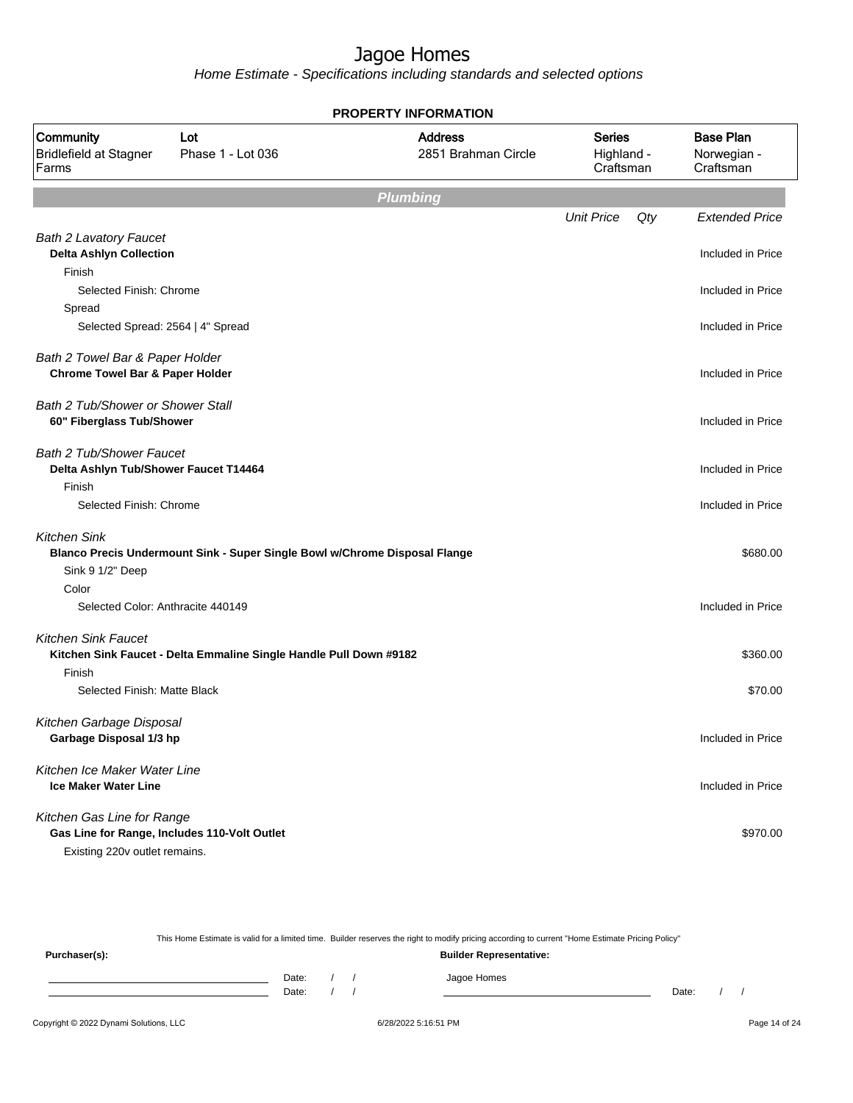|                                                                |                                                                            | <b>PROPERTY INFORMATION</b>           |                                          |     |                                              |
|----------------------------------------------------------------|----------------------------------------------------------------------------|---------------------------------------|------------------------------------------|-----|----------------------------------------------|
| Community<br><b>Bridlefield at Stagner</b><br>Farms            | Lot<br>Phase 1 - Lot 036                                                   | <b>Address</b><br>2851 Brahman Circle | <b>Series</b><br>Highland -<br>Craftsman |     | <b>Base Plan</b><br>Norwegian -<br>Craftsman |
|                                                                |                                                                            | <b>Plumbing</b>                       |                                          |     |                                              |
|                                                                |                                                                            |                                       | <b>Unit Price</b>                        | Qty | <b>Extended Price</b>                        |
| <b>Bath 2 Lavatory Faucet</b>                                  |                                                                            |                                       |                                          |     |                                              |
| <b>Delta Ashlyn Collection</b>                                 |                                                                            |                                       |                                          |     | Included in Price                            |
| Finish                                                         |                                                                            |                                       |                                          |     |                                              |
| Selected Finish: Chrome                                        |                                                                            |                                       |                                          |     | Included in Price                            |
| Spread                                                         |                                                                            |                                       |                                          |     |                                              |
| Selected Spread: 2564   4" Spread                              |                                                                            |                                       |                                          |     | Included in Price                            |
| Bath 2 Towel Bar & Paper Holder                                |                                                                            |                                       |                                          |     |                                              |
| <b>Chrome Towel Bar &amp; Paper Holder</b>                     |                                                                            |                                       |                                          |     | Included in Price                            |
|                                                                |                                                                            |                                       |                                          |     |                                              |
| Bath 2 Tub/Shower or Shower Stall<br>60" Fiberglass Tub/Shower |                                                                            |                                       |                                          |     | Included in Price                            |
|                                                                |                                                                            |                                       |                                          |     |                                              |
| <b>Bath 2 Tub/Shower Faucet</b>                                |                                                                            |                                       |                                          |     |                                              |
| Delta Ashlyn Tub/Shower Faucet T14464                          |                                                                            |                                       |                                          |     | Included in Price                            |
| Finish                                                         |                                                                            |                                       |                                          |     |                                              |
| Selected Finish: Chrome                                        |                                                                            |                                       |                                          |     | Included in Price                            |
| <b>Kitchen Sink</b>                                            |                                                                            |                                       |                                          |     |                                              |
|                                                                | Blanco Precis Undermount Sink - Super Single Bowl w/Chrome Disposal Flange |                                       |                                          |     | \$680.00                                     |
| Sink 9 1/2" Deep                                               |                                                                            |                                       |                                          |     |                                              |
| Color                                                          |                                                                            |                                       |                                          |     |                                              |
| Selected Color: Anthracite 440149                              |                                                                            |                                       |                                          |     | Included in Price                            |
| <b>Kitchen Sink Faucet</b>                                     |                                                                            |                                       |                                          |     |                                              |
|                                                                | Kitchen Sink Faucet - Delta Emmaline Single Handle Pull Down #9182         |                                       |                                          |     | \$360.00                                     |
| Finish                                                         |                                                                            |                                       |                                          |     |                                              |
| Selected Finish: Matte Black                                   |                                                                            |                                       |                                          |     | \$70.00                                      |
|                                                                |                                                                            |                                       |                                          |     |                                              |
| Kitchen Garbage Disposal                                       |                                                                            |                                       |                                          |     |                                              |
| Garbage Disposal 1/3 hp                                        |                                                                            |                                       |                                          |     | Included in Price                            |
| Kitchen Ice Maker Water Line                                   |                                                                            |                                       |                                          |     |                                              |
| <b>Ice Maker Water Line</b>                                    |                                                                            |                                       |                                          |     | Included in Price                            |
| Kitchen Gas Line for Range                                     |                                                                            |                                       |                                          |     |                                              |
|                                                                | Gas Line for Range, Includes 110-Volt Outlet                               |                                       |                                          |     | \$970.00                                     |
| Existing 220v outlet remains.                                  |                                                                            |                                       |                                          |     |                                              |
|                                                                |                                                                            |                                       |                                          |     |                                              |

|               |       |  | This Home Estimate is valid for a limited time. Builder reserves the right to modify pricing according to current "Home Estimate Pricing Policy" |       |  |
|---------------|-------|--|--------------------------------------------------------------------------------------------------------------------------------------------------|-------|--|
| Purchaser(s): |       |  | <b>Builder Representative:</b>                                                                                                                   |       |  |
|               | Date: |  | Jagoe Homes                                                                                                                                      |       |  |
|               | Date: |  |                                                                                                                                                  | Date: |  |
|               |       |  |                                                                                                                                                  |       |  |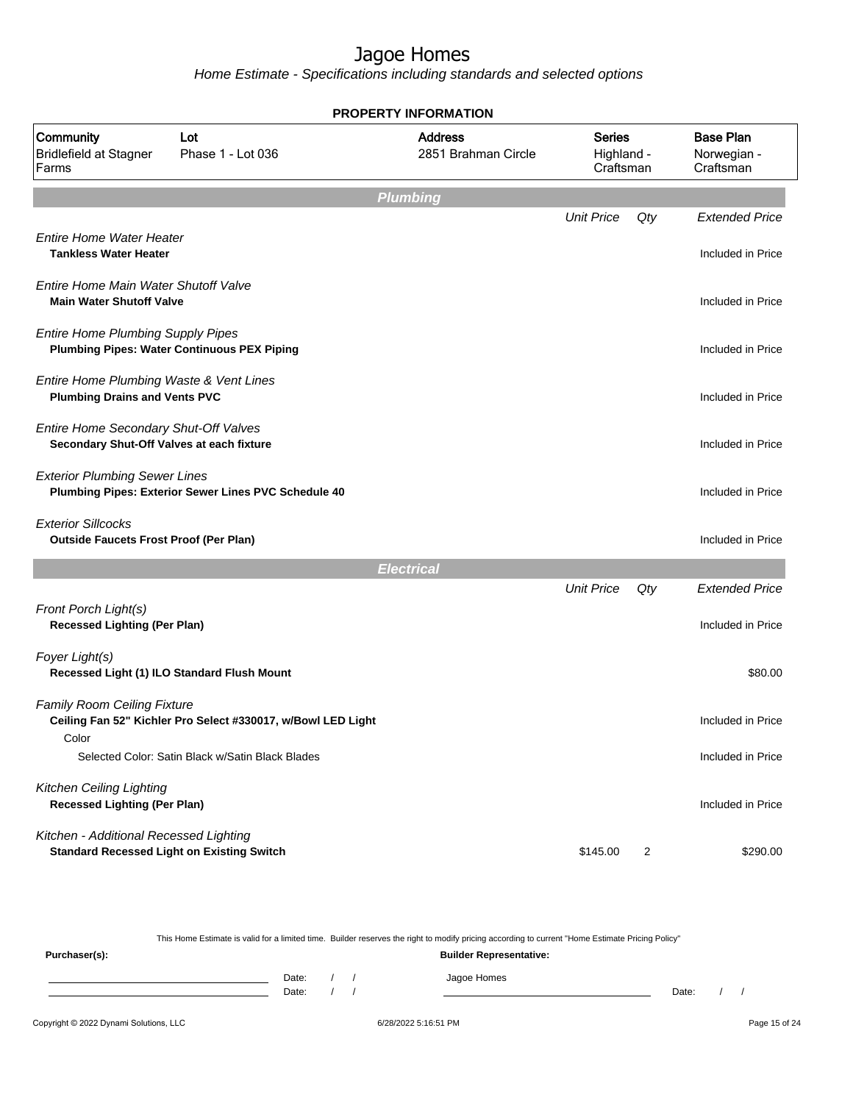Home Estimate - Specifications including standards and selected options

|                                                                                             |                                                              | <b>PROPERTY INFORMATION</b>           |                                          |                |                                              |
|---------------------------------------------------------------------------------------------|--------------------------------------------------------------|---------------------------------------|------------------------------------------|----------------|----------------------------------------------|
| Community<br><b>Bridlefield at Stagner</b><br>Farms                                         | Lot<br>Phase 1 - Lot 036                                     | <b>Address</b><br>2851 Brahman Circle | <b>Series</b><br>Highland -<br>Craftsman |                | <b>Base Plan</b><br>Norwegian -<br>Craftsman |
|                                                                                             |                                                              | <b>Plumbing</b>                       |                                          |                |                                              |
|                                                                                             |                                                              |                                       | <b>Unit Price</b>                        | Qty            | <b>Extended Price</b>                        |
| <b>Entire Home Water Heater</b><br><b>Tankless Water Heater</b>                             |                                                              |                                       |                                          |                | Included in Price                            |
| Entire Home Main Water Shutoff Valve<br><b>Main Water Shutoff Valve</b>                     |                                                              |                                       |                                          |                | Included in Price                            |
| <b>Entire Home Plumbing Supply Pipes</b>                                                    | <b>Plumbing Pipes: Water Continuous PEX Piping</b>           |                                       |                                          |                | Included in Price                            |
| Entire Home Plumbing Waste & Vent Lines<br><b>Plumbing Drains and Vents PVC</b>             |                                                              |                                       |                                          |                | Included in Price                            |
| Entire Home Secondary Shut-Off Valves<br>Secondary Shut-Off Valves at each fixture          |                                                              |                                       |                                          |                | Included in Price                            |
| <b>Exterior Plumbing Sewer Lines</b>                                                        | Plumbing Pipes: Exterior Sewer Lines PVC Schedule 40         |                                       |                                          |                | Included in Price                            |
| <b>Exterior Sillcocks</b><br><b>Outside Faucets Frost Proof (Per Plan)</b>                  |                                                              |                                       |                                          |                | Included in Price                            |
|                                                                                             |                                                              | <b>Electrical</b>                     |                                          |                |                                              |
|                                                                                             |                                                              |                                       | <b>Unit Price</b>                        | Qty            | <b>Extended Price</b>                        |
| Front Porch Light(s)<br><b>Recessed Lighting (Per Plan)</b>                                 |                                                              |                                       |                                          |                | Included in Price                            |
| Foyer Light(s)                                                                              | Recessed Light (1) ILO Standard Flush Mount                  |                                       |                                          |                | \$80.00                                      |
| <b>Family Room Ceiling Fixture</b><br>Color                                                 | Ceiling Fan 52" Kichler Pro Select #330017, w/Bowl LED Light |                                       |                                          |                | Included in Price                            |
|                                                                                             | Selected Color: Satin Black w/Satin Black Blades             |                                       |                                          |                | Included in Price                            |
| Kitchen Ceiling Lighting<br><b>Recessed Lighting (Per Plan)</b>                             |                                                              |                                       |                                          |                | Included in Price                            |
| Kitchen - Additional Recessed Lighting<br><b>Standard Recessed Light on Existing Switch</b> |                                                              |                                       | \$145.00                                 | $\overline{2}$ | \$290.00                                     |

This Home Estimate is valid for a limited time. Builder reserves the right to modify pricing according to current "Home Estimate Pricing Policy"

**Purchaser(s): Builder Representative:** Date: / / Jagoe Homes<br>Date: / / Jagoe Homes Date: / / **Date: / / 2006** Date: / / / Date: / / / Date: / / / 2006 Date: / / / 2006 Date: / / / 2006 Date: / / / 2006 Date: / / / 2007 Date: / / / 2007 Date: / / / 2007 Date: / / / 2007 Date: / / / 2007 Date: / / / 2007 D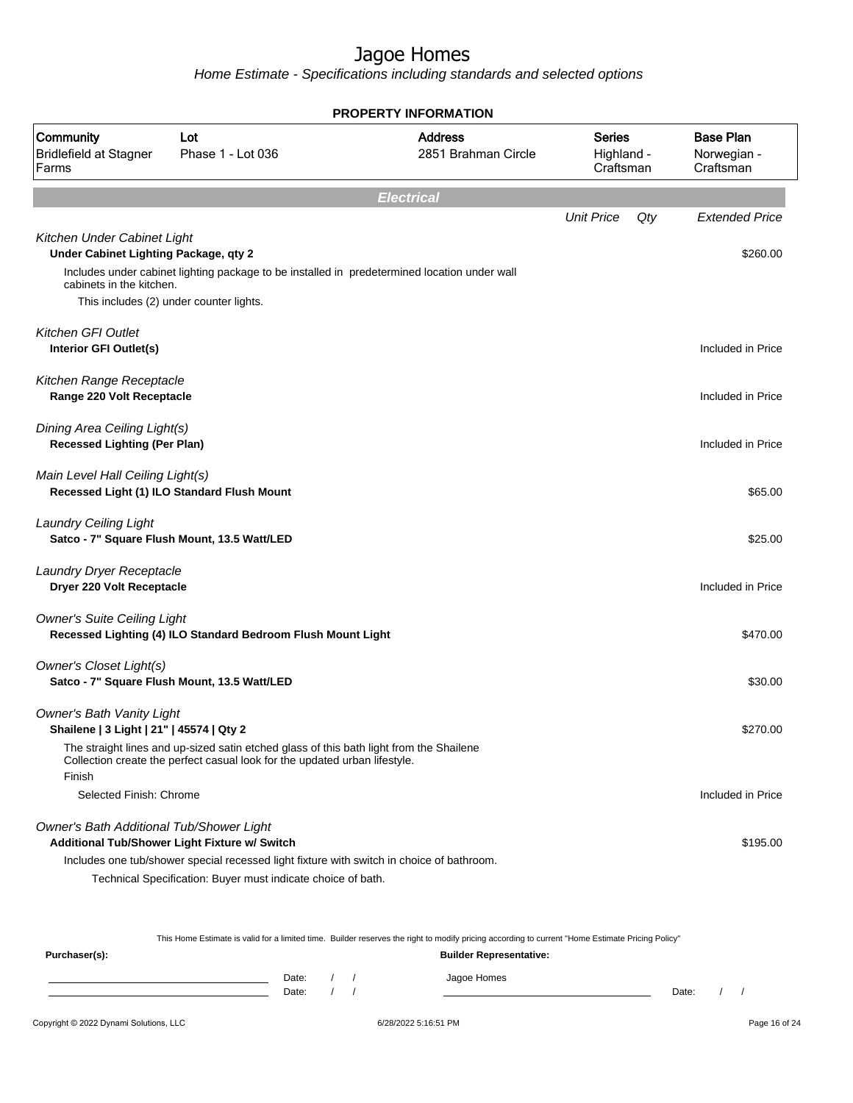Home Estimate - Specifications including standards and selected options

|                                                                              |                                                                                                                                                                       | <b>PROPERTY INFORMATION</b>           |                                          |     |                                              |
|------------------------------------------------------------------------------|-----------------------------------------------------------------------------------------------------------------------------------------------------------------------|---------------------------------------|------------------------------------------|-----|----------------------------------------------|
| Community<br><b>Bridlefield at Stagner</b><br>Farms                          | Lot<br>Phase 1 - Lot 036                                                                                                                                              | <b>Address</b><br>2851 Brahman Circle | <b>Series</b><br>Highland -<br>Craftsman |     | <b>Base Plan</b><br>Norwegian -<br>Craftsman |
|                                                                              |                                                                                                                                                                       | <b>Electrical</b>                     |                                          |     |                                              |
|                                                                              |                                                                                                                                                                       |                                       | <b>Unit Price</b>                        | Qty | <b>Extended Price</b>                        |
| Kitchen Under Cabinet Light<br>Under Cabinet Lighting Package, qty 2         | Includes under cabinet lighting package to be installed in predetermined location under wall                                                                          |                                       |                                          |     | \$260.00                                     |
| cabinets in the kitchen.                                                     |                                                                                                                                                                       |                                       |                                          |     |                                              |
|                                                                              | This includes (2) under counter lights.                                                                                                                               |                                       |                                          |     |                                              |
| Kitchen GFI Outlet<br>Interior GFI Outlet(s)                                 |                                                                                                                                                                       |                                       |                                          |     | Included in Price                            |
| Kitchen Range Receptacle<br>Range 220 Volt Receptacle                        |                                                                                                                                                                       |                                       |                                          |     | Included in Price                            |
| Dining Area Ceiling Light(s)<br><b>Recessed Lighting (Per Plan)</b>          |                                                                                                                                                                       |                                       |                                          |     | Included in Price                            |
| Main Level Hall Ceiling Light(s)                                             | Recessed Light (1) ILO Standard Flush Mount                                                                                                                           |                                       |                                          |     | \$65.00                                      |
| <b>Laundry Ceiling Light</b>                                                 | Satco - 7" Square Flush Mount, 13.5 Watt/LED                                                                                                                          |                                       |                                          |     | \$25.00                                      |
| Laundry Dryer Receptacle<br>Dryer 220 Volt Receptacle                        |                                                                                                                                                                       |                                       |                                          |     | Included in Price                            |
| <b>Owner's Suite Ceiling Light</b>                                           | Recessed Lighting (4) ILO Standard Bedroom Flush Mount Light                                                                                                          |                                       |                                          |     | \$470.00                                     |
| Owner's Closet Light(s)                                                      | Satco - 7" Square Flush Mount, 13.5 Watt/LED                                                                                                                          |                                       |                                          |     | \$30.00                                      |
| <b>Owner's Bath Vanity Light</b><br>Shailene   3 Light   21"   45574   Qty 2 |                                                                                                                                                                       |                                       |                                          |     | \$270.00                                     |
| Finish                                                                       | The straight lines and up-sized satin etched glass of this bath light from the Shailene<br>Collection create the perfect casual look for the updated urban lifestyle. |                                       |                                          |     |                                              |
| Selected Finish: Chrome                                                      |                                                                                                                                                                       |                                       |                                          |     | Included in Price                            |
| Owner's Bath Additional Tub/Shower Light                                     | Additional Tub/Shower Light Fixture w/ Switch                                                                                                                         |                                       |                                          |     | \$195.00                                     |
|                                                                              | Includes one tub/shower special recessed light fixture with switch in choice of bathroom.<br>Technical Specification: Buyer must indicate choice of bath.             |                                       |                                          |     |                                              |

This Home Estimate is valid for a limited time. Builder reserves the right to modify pricing according to current "Home Estimate Pricing Policy"

| Purchaser(s): |                    |  | <b>Builder Representative:</b> |       |  |
|---------------|--------------------|--|--------------------------------|-------|--|
|               | Date: $/$<br>Date: |  | Jagoe Homes                    | Date: |  |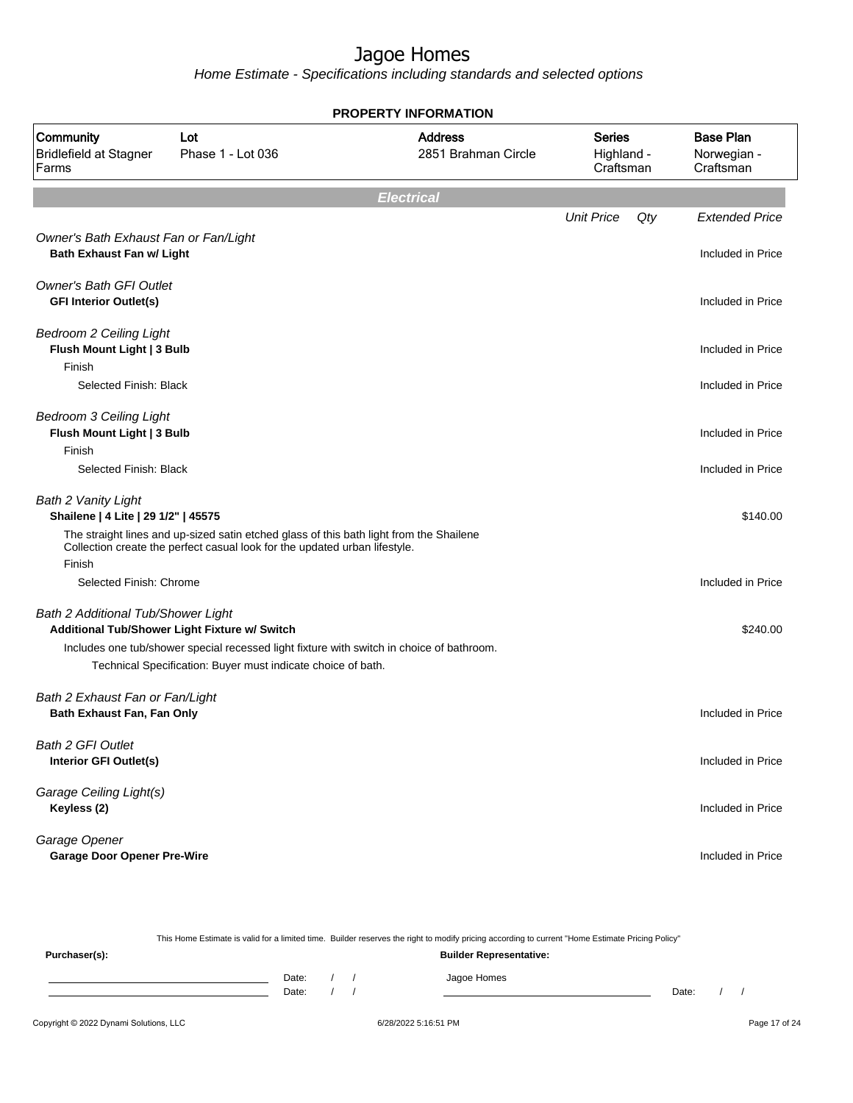|                                                                           |                                                                                                                                                                       | <b>PROPERTY INFORMATION</b>           |                                          |     |                                              |
|---------------------------------------------------------------------------|-----------------------------------------------------------------------------------------------------------------------------------------------------------------------|---------------------------------------|------------------------------------------|-----|----------------------------------------------|
| Community<br><b>Bridlefield at Stagner</b><br>Farms                       | Lot<br>Phase 1 - Lot 036                                                                                                                                              | <b>Address</b><br>2851 Brahman Circle | <b>Series</b><br>Highland -<br>Craftsman |     | <b>Base Plan</b><br>Norwegian -<br>Craftsman |
|                                                                           |                                                                                                                                                                       | <b>Electrical</b>                     |                                          |     |                                              |
|                                                                           |                                                                                                                                                                       |                                       | <b>Unit Price</b>                        | Qty | <b>Extended Price</b>                        |
| Owner's Bath Exhaust Fan or Fan/Light<br><b>Bath Exhaust Fan w/ Light</b> |                                                                                                                                                                       |                                       |                                          |     | Included in Price                            |
| <b>Owner's Bath GFI Outlet</b><br><b>GFI Interior Outlet(s)</b>           |                                                                                                                                                                       |                                       |                                          |     | Included in Price                            |
| <b>Bedroom 2 Ceiling Light</b><br>Flush Mount Light   3 Bulb<br>Finish    |                                                                                                                                                                       |                                       |                                          |     | Included in Price                            |
| Selected Finish: Black                                                    |                                                                                                                                                                       |                                       |                                          |     | Included in Price                            |
| <b>Bedroom 3 Ceiling Light</b><br>Flush Mount Light   3 Bulb              |                                                                                                                                                                       |                                       |                                          |     | Included in Price                            |
| Finish<br>Selected Finish: Black                                          |                                                                                                                                                                       |                                       |                                          |     | Included in Price                            |
|                                                                           |                                                                                                                                                                       |                                       |                                          |     |                                              |
| Bath 2 Vanity Light<br>Shailene   4 Lite   29 1/2"   45575                |                                                                                                                                                                       |                                       |                                          |     | \$140.00                                     |
| Finish                                                                    | The straight lines and up-sized satin etched glass of this bath light from the Shailene<br>Collection create the perfect casual look for the updated urban lifestyle. |                                       |                                          |     |                                              |
| Selected Finish: Chrome                                                   |                                                                                                                                                                       |                                       |                                          |     | Included in Price                            |
| Bath 2 Additional Tub/Shower Light                                        | Additional Tub/Shower Light Fixture w/ Switch                                                                                                                         |                                       |                                          |     | \$240.00                                     |
|                                                                           | Includes one tub/shower special recessed light fixture with switch in choice of bathroom.                                                                             |                                       |                                          |     |                                              |
|                                                                           | Technical Specification: Buyer must indicate choice of bath.                                                                                                          |                                       |                                          |     |                                              |
| Bath 2 Exhaust Fan or Fan/Light<br>Bath Exhaust Fan, Fan Only             |                                                                                                                                                                       |                                       |                                          |     | Included in Price                            |
| Bath 2 GFI Outlet<br>Interior GFI Outlet(s)                               |                                                                                                                                                                       |                                       |                                          |     | Included in Price                            |
|                                                                           |                                                                                                                                                                       |                                       |                                          |     |                                              |
| Garage Ceiling Light(s)<br>Keyless (2)                                    |                                                                                                                                                                       |                                       |                                          |     | Included in Price                            |
| Garage Opener<br><b>Garage Door Opener Pre-Wire</b>                       |                                                                                                                                                                       |                                       |                                          |     | Included in Price                            |

|               |       |  | This Home Estimate is valid for a limited time. Builder reserves the right to modify pricing according to current "Home Estimate Pricing Policy" |       |  |
|---------------|-------|--|--------------------------------------------------------------------------------------------------------------------------------------------------|-------|--|
| Purchaser(s): |       |  | <b>Builder Representative:</b>                                                                                                                   |       |  |
|               | Date: |  | Jagoe Homes                                                                                                                                      |       |  |
|               | Date: |  |                                                                                                                                                  | Date: |  |
|               |       |  |                                                                                                                                                  |       |  |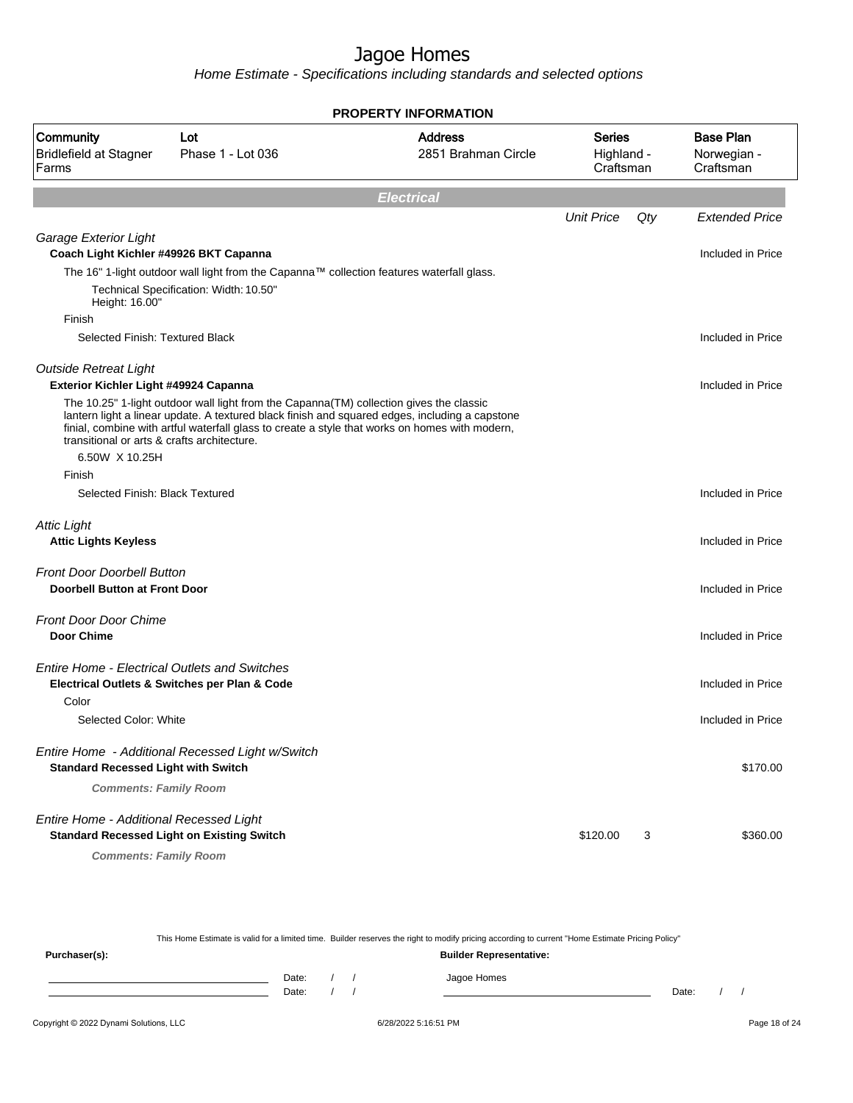Home Estimate - Specifications including standards and selected options

| <b>PROPERTY INFORMATION</b>                                           |                                                                                          |                                                                                                                                                                                                  |                                          |     |                                              |  |  |
|-----------------------------------------------------------------------|------------------------------------------------------------------------------------------|--------------------------------------------------------------------------------------------------------------------------------------------------------------------------------------------------|------------------------------------------|-----|----------------------------------------------|--|--|
| Community<br><b>Bridlefield at Stagner</b><br>Farms                   | Lot<br>Phase 1 - Lot 036                                                                 | <b>Address</b><br>2851 Brahman Circle                                                                                                                                                            | <b>Series</b><br>Highland -<br>Craftsman |     | <b>Base Plan</b><br>Norwegian -<br>Craftsman |  |  |
|                                                                       |                                                                                          | <b>Electrical</b>                                                                                                                                                                                |                                          |     |                                              |  |  |
|                                                                       |                                                                                          |                                                                                                                                                                                                  | <b>Unit Price</b>                        | Qty | <b>Extended Price</b>                        |  |  |
| Garage Exterior Light                                                 |                                                                                          |                                                                                                                                                                                                  |                                          |     | Included in Price                            |  |  |
| Coach Light Kichler #49926 BKT Capanna                                |                                                                                          | The 16" 1-light outdoor wall light from the Capanna™ collection features waterfall glass.                                                                                                        |                                          |     |                                              |  |  |
|                                                                       | Technical Specification: Width: 10.50"                                                   |                                                                                                                                                                                                  |                                          |     |                                              |  |  |
| Height: 16.00"<br>Finish                                              |                                                                                          |                                                                                                                                                                                                  |                                          |     |                                              |  |  |
| Selected Finish: Textured Black                                       |                                                                                          |                                                                                                                                                                                                  |                                          |     | Included in Price                            |  |  |
|                                                                       |                                                                                          |                                                                                                                                                                                                  |                                          |     |                                              |  |  |
| <b>Outside Retreat Light</b><br>Exterior Kichler Light #49924 Capanna |                                                                                          |                                                                                                                                                                                                  |                                          |     | Included in Price                            |  |  |
|                                                                       | The 10.25" 1-light outdoor wall light from the Capanna (TM) collection gives the classic |                                                                                                                                                                                                  |                                          |     |                                              |  |  |
|                                                                       |                                                                                          | lantern light a linear update. A textured black finish and squared edges, including a capstone<br>finial, combine with artful waterfall glass to create a style that works on homes with modern, |                                          |     |                                              |  |  |
| transitional or arts & crafts architecture.                           |                                                                                          |                                                                                                                                                                                                  |                                          |     |                                              |  |  |
| 6.50W X 10.25H                                                        |                                                                                          |                                                                                                                                                                                                  |                                          |     |                                              |  |  |
| Finish<br>Selected Finish: Black Textured                             |                                                                                          |                                                                                                                                                                                                  |                                          |     | Included in Price                            |  |  |
|                                                                       |                                                                                          |                                                                                                                                                                                                  |                                          |     |                                              |  |  |
| <b>Attic Light</b>                                                    |                                                                                          |                                                                                                                                                                                                  |                                          |     |                                              |  |  |
| <b>Attic Lights Keyless</b>                                           |                                                                                          |                                                                                                                                                                                                  |                                          |     | Included in Price                            |  |  |
| <b>Front Door Doorbell Button</b>                                     |                                                                                          |                                                                                                                                                                                                  |                                          |     |                                              |  |  |
| <b>Doorbell Button at Front Door</b>                                  |                                                                                          |                                                                                                                                                                                                  |                                          |     | Included in Price                            |  |  |
| <b>Front Door Door Chime</b>                                          |                                                                                          |                                                                                                                                                                                                  |                                          |     |                                              |  |  |
| <b>Door Chime</b>                                                     |                                                                                          |                                                                                                                                                                                                  |                                          |     | Included in Price                            |  |  |
| <b>Entire Home - Electrical Outlets and Switches</b>                  |                                                                                          |                                                                                                                                                                                                  |                                          |     |                                              |  |  |
|                                                                       | Electrical Outlets & Switches per Plan & Code                                            |                                                                                                                                                                                                  |                                          |     | Included in Price                            |  |  |
| Color                                                                 |                                                                                          |                                                                                                                                                                                                  |                                          |     |                                              |  |  |
| Selected Color: White                                                 |                                                                                          |                                                                                                                                                                                                  |                                          |     | Included in Price                            |  |  |
|                                                                       | Entire Home - Additional Recessed Light w/Switch                                         |                                                                                                                                                                                                  |                                          |     |                                              |  |  |
| <b>Standard Recessed Light with Switch</b>                            |                                                                                          |                                                                                                                                                                                                  |                                          |     | \$170.00                                     |  |  |
| <b>Comments: Family Room</b>                                          |                                                                                          |                                                                                                                                                                                                  |                                          |     |                                              |  |  |
| Entire Home - Additional Recessed Light                               |                                                                                          |                                                                                                                                                                                                  |                                          |     |                                              |  |  |
| <b>Standard Recessed Light on Existing Switch</b>                     |                                                                                          |                                                                                                                                                                                                  | \$120.00                                 | 3   | \$360.00                                     |  |  |
| <b>Comments: Family Room</b>                                          |                                                                                          |                                                                                                                                                                                                  |                                          |     |                                              |  |  |

This Home Estimate is valid for a limited time. Builder reserves the right to modify pricing according to current "Home Estimate Pricing Policy" **Purchaser(s): Builder Representative:** Date: / / Jagoe Homes<br>Date: / / Jagoe Homes Date: / / **Date: / / 2006** Date: / / / Date: / / / Date: / / / 2006 Date: / / / 2006 Date: / / / 2006 Date: / / / 2006 Date: / / / 2007 Date: / / / 2007 Date: / / / 2007 Date: / / / 2007 Date: / / / 2007 Date: / / / 2007 D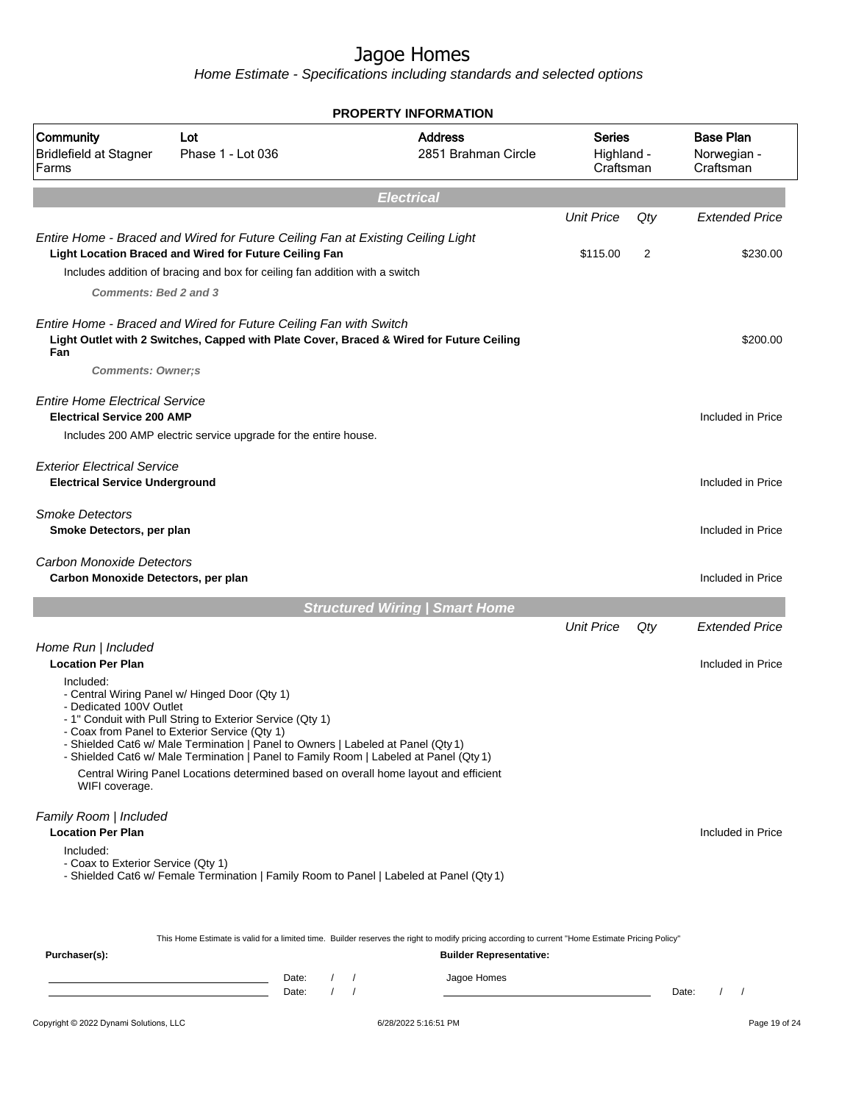Home Estimate - Specifications including standards and selected options

|                                                                                                       |                                                                                                                                                                                                                                                                                                                                                                                                                                  | <b>PROPERTY INFORMATION</b>                                                                                                                                                                       |                                          |          |                                              |
|-------------------------------------------------------------------------------------------------------|----------------------------------------------------------------------------------------------------------------------------------------------------------------------------------------------------------------------------------------------------------------------------------------------------------------------------------------------------------------------------------------------------------------------------------|---------------------------------------------------------------------------------------------------------------------------------------------------------------------------------------------------|------------------------------------------|----------|----------------------------------------------|
| Community<br><b>Bridlefield at Stagner</b><br>Farms                                                   | Lot<br>Phase 1 - Lot 036                                                                                                                                                                                                                                                                                                                                                                                                         | <b>Address</b><br>2851 Brahman Circle                                                                                                                                                             | <b>Series</b><br>Highland -<br>Craftsman |          | <b>Base Plan</b><br>Norwegian -<br>Craftsman |
|                                                                                                       |                                                                                                                                                                                                                                                                                                                                                                                                                                  | <b>Electrical</b>                                                                                                                                                                                 |                                          |          |                                              |
| <b>Comments: Bed 2 and 3</b>                                                                          | Entire Home - Braced and Wired for Future Ceiling Fan at Existing Ceiling Light<br>Light Location Braced and Wired for Future Ceiling Fan<br>Includes addition of bracing and box for ceiling fan addition with a switch                                                                                                                                                                                                         |                                                                                                                                                                                                   | <b>Unit Price</b><br>\$115.00            | Qty<br>2 | <b>Extended Price</b><br>\$230.00            |
| Fan<br><b>Comments: Owner;s</b>                                                                       | Entire Home - Braced and Wired for Future Ceiling Fan with Switch<br>Light Outlet with 2 Switches, Capped with Plate Cover, Braced & Wired for Future Ceiling                                                                                                                                                                                                                                                                    |                                                                                                                                                                                                   |                                          |          | \$200.00                                     |
| <b>Entire Home Electrical Service</b><br><b>Electrical Service 200 AMP</b>                            | Includes 200 AMP electric service upgrade for the entire house.                                                                                                                                                                                                                                                                                                                                                                  |                                                                                                                                                                                                   |                                          |          | Included in Price                            |
| <b>Exterior Electrical Service</b><br><b>Electrical Service Underground</b>                           |                                                                                                                                                                                                                                                                                                                                                                                                                                  |                                                                                                                                                                                                   |                                          |          | Included in Price                            |
| <b>Smoke Detectors</b><br>Smoke Detectors, per plan                                                   |                                                                                                                                                                                                                                                                                                                                                                                                                                  |                                                                                                                                                                                                   |                                          |          | Included in Price                            |
| <b>Carbon Monoxide Detectors</b><br>Carbon Monoxide Detectors, per plan                               |                                                                                                                                                                                                                                                                                                                                                                                                                                  |                                                                                                                                                                                                   |                                          |          | Included in Price                            |
|                                                                                                       |                                                                                                                                                                                                                                                                                                                                                                                                                                  | <b>Structured Wiring   Smart Home</b>                                                                                                                                                             |                                          |          |                                              |
|                                                                                                       |                                                                                                                                                                                                                                                                                                                                                                                                                                  |                                                                                                                                                                                                   | <b>Unit Price</b>                        | Qty      | <b>Extended Price</b>                        |
| Home Run   Included<br><b>Location Per Plan</b>                                                       |                                                                                                                                                                                                                                                                                                                                                                                                                                  |                                                                                                                                                                                                   |                                          |          | Included in Price                            |
| Included:<br>- Dedicated 100V Outlet<br>WIFI coverage.                                                | - Central Wiring Panel w/ Hinged Door (Qty 1)<br>- 1" Conduit with Pull String to Exterior Service (Qty 1)<br>- Coax from Panel to Exterior Service (Qty 1)<br>- Shielded Cat6 w/ Male Termination   Panel to Owners   Labeled at Panel (Qty 1)<br>- Shielded Cat6 w/ Male Termination   Panel to Family Room   Labeled at Panel (Qty 1)<br>Central Wiring Panel Locations determined based on overall home layout and efficient |                                                                                                                                                                                                   |                                          |          |                                              |
| Family Room   Included<br><b>Location Per Plan</b><br>Included:<br>- Coax to Exterior Service (Qty 1) | - Shielded Cat6 w/ Female Termination   Family Room to Panel   Labeled at Panel (Qty 1)                                                                                                                                                                                                                                                                                                                                          |                                                                                                                                                                                                   |                                          |          | Included in Price                            |
| Purchaser(s):                                                                                         | Date:<br>Date:                                                                                                                                                                                                                                                                                                                                                                                                                   | This Home Estimate is valid for a limited time. Builder reserves the right to modify pricing according to current "Home Estimate Pricing Policy"<br><b>Builder Representative:</b><br>Jagoe Homes |                                          |          | Date:                                        |

#### Copyright © 2022 Dynami Solutions, LLC <br>
6/28/2022 5:16:51 PM Page 19 of 24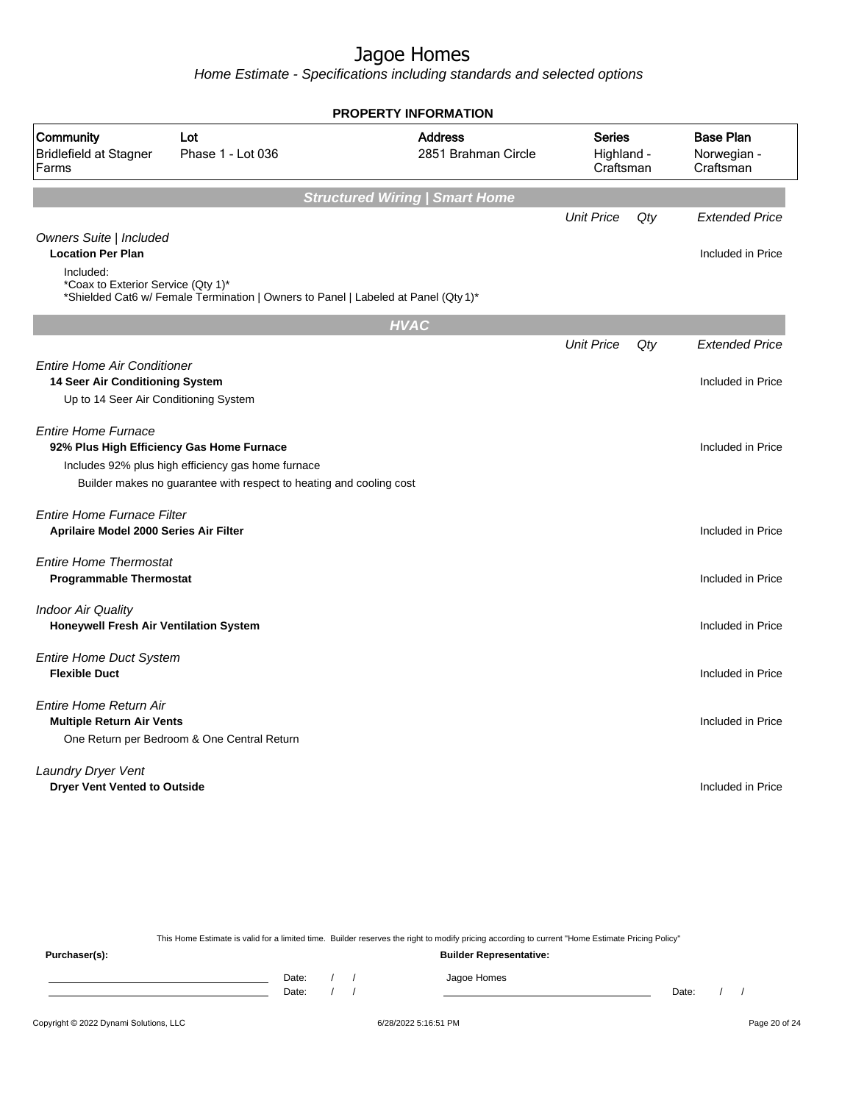Home Estimate - Specifications including standards and selected options

|                                                                             |                                                                                                                           | <b>PROPERTY INFORMATION</b>           |                                          |     |                                              |
|-----------------------------------------------------------------------------|---------------------------------------------------------------------------------------------------------------------------|---------------------------------------|------------------------------------------|-----|----------------------------------------------|
| Community<br><b>Bridlefield at Stagner</b><br>Farms                         | Lot<br>Phase 1 - Lot 036                                                                                                  | <b>Address</b><br>2851 Brahman Circle | <b>Series</b><br>Highland -<br>Craftsman |     | <b>Base Plan</b><br>Norwegian -<br>Craftsman |
|                                                                             |                                                                                                                           | <b>Structured Wiring   Smart Home</b> |                                          |     |                                              |
| Owners Suite   Included                                                     |                                                                                                                           |                                       | <b>Unit Price</b>                        | Qty | <b>Extended Price</b>                        |
| <b>Location Per Plan</b>                                                    |                                                                                                                           |                                       |                                          |     | Included in Price                            |
| Included:<br>*Coax to Exterior Service (Qty 1)*                             | *Shielded Cat6 w/ Female Termination   Owners to Panel   Labeled at Panel (Qty 1)*                                        |                                       |                                          |     |                                              |
|                                                                             |                                                                                                                           | <b>HVAC</b>                           |                                          |     |                                              |
|                                                                             |                                                                                                                           |                                       | <b>Unit Price</b>                        | Qty | <b>Extended Price</b>                        |
| <b>Entire Home Air Conditioner</b><br>14 Seer Air Conditioning System       |                                                                                                                           |                                       |                                          |     | Included in Price                            |
| Up to 14 Seer Air Conditioning System                                       |                                                                                                                           |                                       |                                          |     |                                              |
| <b>Entire Home Furnace</b>                                                  | 92% Plus High Efficiency Gas Home Furnace                                                                                 |                                       |                                          |     | Included in Price                            |
|                                                                             | Includes 92% plus high efficiency gas home furnace<br>Builder makes no guarantee with respect to heating and cooling cost |                                       |                                          |     |                                              |
| <b>Entire Home Furnace Filter</b><br>Aprilaire Model 2000 Series Air Filter |                                                                                                                           |                                       |                                          |     | Included in Price                            |
| <b>Entire Home Thermostat</b><br><b>Programmable Thermostat</b>             |                                                                                                                           |                                       |                                          |     | Included in Price                            |
| <b>Indoor Air Quality</b><br><b>Honeywell Fresh Air Ventilation System</b>  |                                                                                                                           |                                       |                                          |     | Included in Price                            |
| <b>Entire Home Duct System</b><br><b>Flexible Duct</b>                      |                                                                                                                           |                                       |                                          |     | Included in Price                            |
| <b>Entire Home Return Air</b><br><b>Multiple Return Air Vents</b>           |                                                                                                                           |                                       |                                          |     | Included in Price                            |
|                                                                             | One Return per Bedroom & One Central Return                                                                               |                                       |                                          |     |                                              |
| <b>Laundry Dryer Vent</b><br><b>Dryer Vent Vented to Outside</b>            |                                                                                                                           |                                       |                                          |     | Included in Price                            |
|                                                                             |                                                                                                                           |                                       |                                          |     |                                              |

This Home Estimate is valid for a limited time. Builder reserves the right to modify pricing according to current "Home Estimate Pricing Policy" **Purchaser(s): Builder Representative:** Date: / / Jagoe Homes<br>Date: / / Jagoe Homes Date: / / Date: / /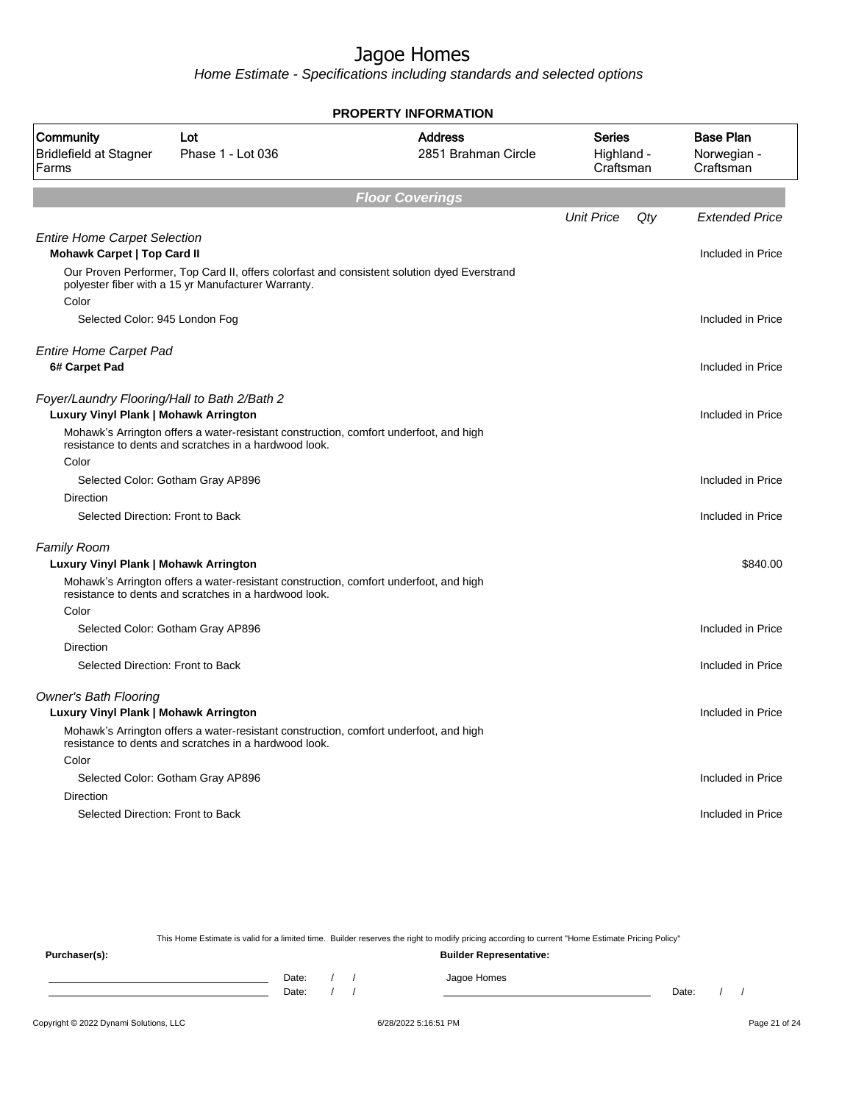Home Estimate - Specifications including standards and selected options

|                                                                                       |                                                                                                                                                    | <b>PROPERTY INFORMATION</b>           |                                   |     |                                              |
|---------------------------------------------------------------------------------------|----------------------------------------------------------------------------------------------------------------------------------------------------|---------------------------------------|-----------------------------------|-----|----------------------------------------------|
| Community<br><b>Bridlefield at Stagner</b><br>Farms                                   | Lot<br>Phase 1 - Lot 036                                                                                                                           | <b>Address</b><br>2851 Brahman Circle | Series<br>Highland -<br>Craftsman |     | <b>Base Plan</b><br>Norwegian -<br>Craftsman |
|                                                                                       |                                                                                                                                                    | <b>Floor Coverings</b>                |                                   |     |                                              |
|                                                                                       |                                                                                                                                                    |                                       | <b>Unit Price</b>                 | Qty | <b>Extended Price</b>                        |
| <b>Entire Home Carpet Selection</b><br>Mohawk Carpet   Top Card II                    |                                                                                                                                                    |                                       |                                   |     | Included in Price                            |
| Color                                                                                 | Our Proven Performer, Top Card II, offers colorfast and consistent solution dyed Everstrand<br>polyester fiber with a 15 yr Manufacturer Warranty. |                                       |                                   |     |                                              |
| Selected Color: 945 London Fog                                                        |                                                                                                                                                    |                                       |                                   |     | Included in Price                            |
| <b>Entire Home Carpet Pad</b><br>6# Carpet Pad                                        |                                                                                                                                                    |                                       |                                   |     | Included in Price                            |
|                                                                                       |                                                                                                                                                    |                                       |                                   |     |                                              |
| Foyer/Laundry Flooring/Hall to Bath 2/Bath 2<br>Luxury Vinyl Plank   Mohawk Arrington |                                                                                                                                                    |                                       |                                   |     | Included in Price                            |
|                                                                                       | Mohawk's Arrington offers a water-resistant construction, comfort underfoot, and high<br>resistance to dents and scratches in a hardwood look.     |                                       |                                   |     |                                              |
| Color                                                                                 |                                                                                                                                                    |                                       |                                   |     |                                              |
|                                                                                       | Selected Color: Gotham Gray AP896                                                                                                                  |                                       |                                   |     | Included in Price                            |
| Direction                                                                             |                                                                                                                                                    |                                       |                                   |     |                                              |
| Selected Direction: Front to Back                                                     |                                                                                                                                                    |                                       |                                   |     | Included in Price                            |
| <b>Family Room</b>                                                                    |                                                                                                                                                    |                                       |                                   |     |                                              |
| Luxury Vinyl Plank   Mohawk Arrington                                                 |                                                                                                                                                    |                                       |                                   |     | \$840.00                                     |
|                                                                                       | Mohawk's Arrington offers a water-resistant construction, comfort underfoot, and high<br>resistance to dents and scratches in a hardwood look.     |                                       |                                   |     |                                              |
| Color                                                                                 |                                                                                                                                                    |                                       |                                   |     |                                              |
|                                                                                       | Selected Color: Gotham Gray AP896                                                                                                                  |                                       |                                   |     | Included in Price                            |
| Direction                                                                             |                                                                                                                                                    |                                       |                                   |     |                                              |
| Selected Direction: Front to Back                                                     |                                                                                                                                                    |                                       |                                   |     | Included in Price                            |
| <b>Owner's Bath Flooring</b>                                                          |                                                                                                                                                    |                                       |                                   |     |                                              |
| Luxury Vinyl Plank   Mohawk Arrington                                                 |                                                                                                                                                    |                                       |                                   |     | Included in Price                            |
|                                                                                       | Mohawk's Arrington offers a water-resistant construction, comfort underfoot, and high<br>resistance to dents and scratches in a hardwood look.     |                                       |                                   |     |                                              |
| Color                                                                                 |                                                                                                                                                    |                                       |                                   |     |                                              |
|                                                                                       | Selected Color: Gotham Gray AP896                                                                                                                  |                                       |                                   |     | Included in Price                            |
| Direction                                                                             |                                                                                                                                                    |                                       |                                   |     |                                              |
| Selected Direction: Front to Back                                                     |                                                                                                                                                    |                                       |                                   |     | Included in Price                            |
|                                                                                       |                                                                                                                                                    |                                       |                                   |     |                                              |

This Home Estimate is valid for a limited time. Builder reserves the right to modify pricing according to current "Home Estimate Pricing Policy"

**Purchaser(s): Builder Representative:** Date: / / Jagoe Homes<br>Date: / / Jagoe Homes Date: / / Date: / /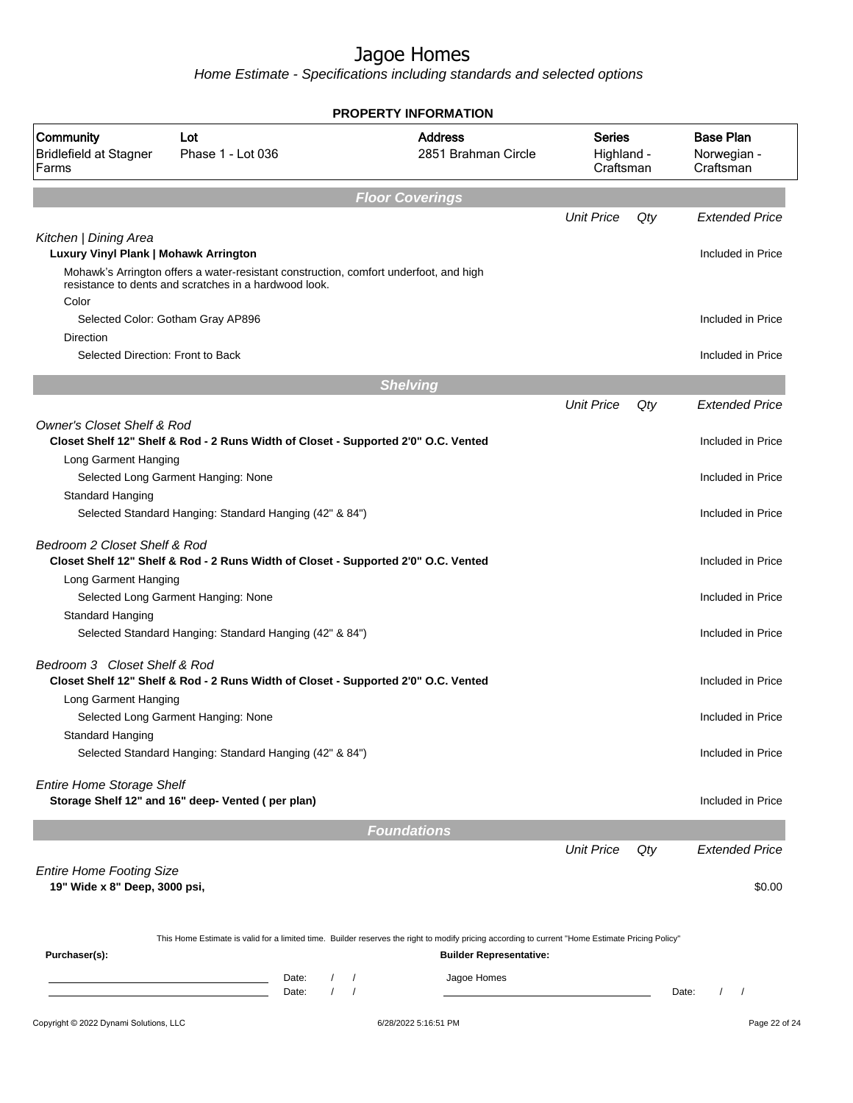| Community<br><b>Bridlefield at Stagner</b><br>Farms<br>Kitchen   Dining Area<br>Luxury Vinyl Plank   Mohawk Arrington | Lot<br>Phase 1 - Lot 036                                                                                                        |                      | <b>Address</b><br>2851 Brahman Circle                                                                                                                                              |                                          |     | <b>Base Plan</b>         |  |
|-----------------------------------------------------------------------------------------------------------------------|---------------------------------------------------------------------------------------------------------------------------------|----------------------|------------------------------------------------------------------------------------------------------------------------------------------------------------------------------------|------------------------------------------|-----|--------------------------|--|
|                                                                                                                       |                                                                                                                                 |                      |                                                                                                                                                                                    | <b>Series</b><br>Highland -<br>Craftsman |     | Norwegian -<br>Craftsman |  |
|                                                                                                                       |                                                                                                                                 |                      | <b>Floor Coverings</b>                                                                                                                                                             |                                          |     |                          |  |
|                                                                                                                       |                                                                                                                                 |                      |                                                                                                                                                                                    | <b>Unit Price</b>                        | Qty | <b>Extended Price</b>    |  |
|                                                                                                                       |                                                                                                                                 |                      |                                                                                                                                                                                    |                                          |     | Included in Price        |  |
|                                                                                                                       | Mohawk's Arrington offers a water-resistant construction, comfort underfoot, and high                                           |                      |                                                                                                                                                                                    |                                          |     |                          |  |
|                                                                                                                       | resistance to dents and scratches in a hardwood look.                                                                           |                      |                                                                                                                                                                                    |                                          |     |                          |  |
| Color                                                                                                                 |                                                                                                                                 |                      |                                                                                                                                                                                    |                                          |     |                          |  |
| Selected Color: Gotham Gray AP896                                                                                     |                                                                                                                                 |                      |                                                                                                                                                                                    |                                          |     | Included in Price        |  |
| <b>Direction</b><br>Selected Direction: Front to Back                                                                 |                                                                                                                                 |                      |                                                                                                                                                                                    |                                          |     |                          |  |
|                                                                                                                       |                                                                                                                                 |                      |                                                                                                                                                                                    |                                          |     | Included in Price        |  |
|                                                                                                                       |                                                                                                                                 |                      | <b>Shelving</b>                                                                                                                                                                    |                                          |     |                          |  |
|                                                                                                                       |                                                                                                                                 |                      |                                                                                                                                                                                    | <b>Unit Price</b>                        | Qty | <b>Extended Price</b>    |  |
| <b>Owner's Closet Shelf &amp; Rod</b>                                                                                 |                                                                                                                                 |                      |                                                                                                                                                                                    |                                          |     |                          |  |
|                                                                                                                       | Closet Shelf 12" Shelf & Rod - 2 Runs Width of Closet - Supported 2'0" O.C. Vented                                              |                      |                                                                                                                                                                                    |                                          |     | Included in Price        |  |
| Long Garment Hanging                                                                                                  |                                                                                                                                 |                      |                                                                                                                                                                                    |                                          |     |                          |  |
| Selected Long Garment Hanging: None                                                                                   |                                                                                                                                 |                      |                                                                                                                                                                                    |                                          |     | Included in Price        |  |
| Standard Hanging                                                                                                      |                                                                                                                                 |                      |                                                                                                                                                                                    |                                          |     | Included in Price        |  |
|                                                                                                                       | Selected Standard Hanging: Standard Hanging (42" & 84")                                                                         |                      |                                                                                                                                                                                    |                                          |     |                          |  |
| Bedroom 2 Closet Shelf & Rod                                                                                          | Closet Shelf 12" Shelf & Rod - 2 Runs Width of Closet - Supported 2'0" O.C. Vented                                              |                      |                                                                                                                                                                                    |                                          |     | Included in Price        |  |
| Long Garment Hanging                                                                                                  |                                                                                                                                 |                      |                                                                                                                                                                                    |                                          |     |                          |  |
| Selected Long Garment Hanging: None                                                                                   |                                                                                                                                 |                      |                                                                                                                                                                                    |                                          |     | Included in Price        |  |
| Standard Hanging                                                                                                      |                                                                                                                                 |                      |                                                                                                                                                                                    |                                          |     |                          |  |
|                                                                                                                       | Selected Standard Hanging: Standard Hanging (42" & 84")                                                                         |                      |                                                                                                                                                                                    |                                          |     | Included in Price        |  |
| Bedroom 3 Closet Shelf & Rod                                                                                          | Closet Shelf 12" Shelf & Rod - 2 Runs Width of Closet - Supported 2'0" O.C. Vented                                              |                      |                                                                                                                                                                                    |                                          |     | Included in Price        |  |
| Long Garment Hanging                                                                                                  |                                                                                                                                 |                      |                                                                                                                                                                                    |                                          |     |                          |  |
| Selected Long Garment Hanging: None                                                                                   |                                                                                                                                 |                      |                                                                                                                                                                                    |                                          |     | Included in Price        |  |
| Standard Hanging                                                                                                      |                                                                                                                                 |                      |                                                                                                                                                                                    |                                          |     |                          |  |
|                                                                                                                       | Selected Standard Hanging: Standard Hanging (42" & 84")                                                                         |                      |                                                                                                                                                                                    |                                          |     | Included in Price        |  |
| <b>Entire Home Storage Shelf</b>                                                                                      | Storage Shelf 12" and 16" deep- Vented (per plan)                                                                               |                      |                                                                                                                                                                                    |                                          |     | Included in Price        |  |
|                                                                                                                       |                                                                                                                                 |                      | <b>Foundations</b>                                                                                                                                                                 |                                          |     |                          |  |
|                                                                                                                       |                                                                                                                                 |                      |                                                                                                                                                                                    | <b>Unit Price</b>                        | Qty | <b>Extended Price</b>    |  |
| <b>Entire Home Footing Size</b>                                                                                       |                                                                                                                                 |                      |                                                                                                                                                                                    |                                          |     |                          |  |
| 19" Wide x 8" Deep, 3000 psi,                                                                                         |                                                                                                                                 |                      |                                                                                                                                                                                    |                                          |     | \$0.00                   |  |
|                                                                                                                       |                                                                                                                                 |                      |                                                                                                                                                                                    |                                          |     |                          |  |
|                                                                                                                       |                                                                                                                                 |                      |                                                                                                                                                                                    |                                          |     |                          |  |
| Purchaser(s):                                                                                                         |                                                                                                                                 |                      | This Home Estimate is valid for a limited time. Builder reserves the right to modify pricing according to current "Home Estimate Pricing Policy"<br><b>Builder Representative:</b> |                                          |     |                          |  |
|                                                                                                                       | Date:                                                                                                                           | $\prime$             | Jagoe Homes                                                                                                                                                                        |                                          |     |                          |  |
|                                                                                                                       | <u> 1989 - Johann Barn, mars ann an t-Aontaithe ann an t-Aontaithe ann an t-Aontaithe ann an t-Aontaithe ann an t-</u><br>Date: | $\prime$<br>$\prime$ |                                                                                                                                                                                    |                                          |     | Date:<br>$\prime$        |  |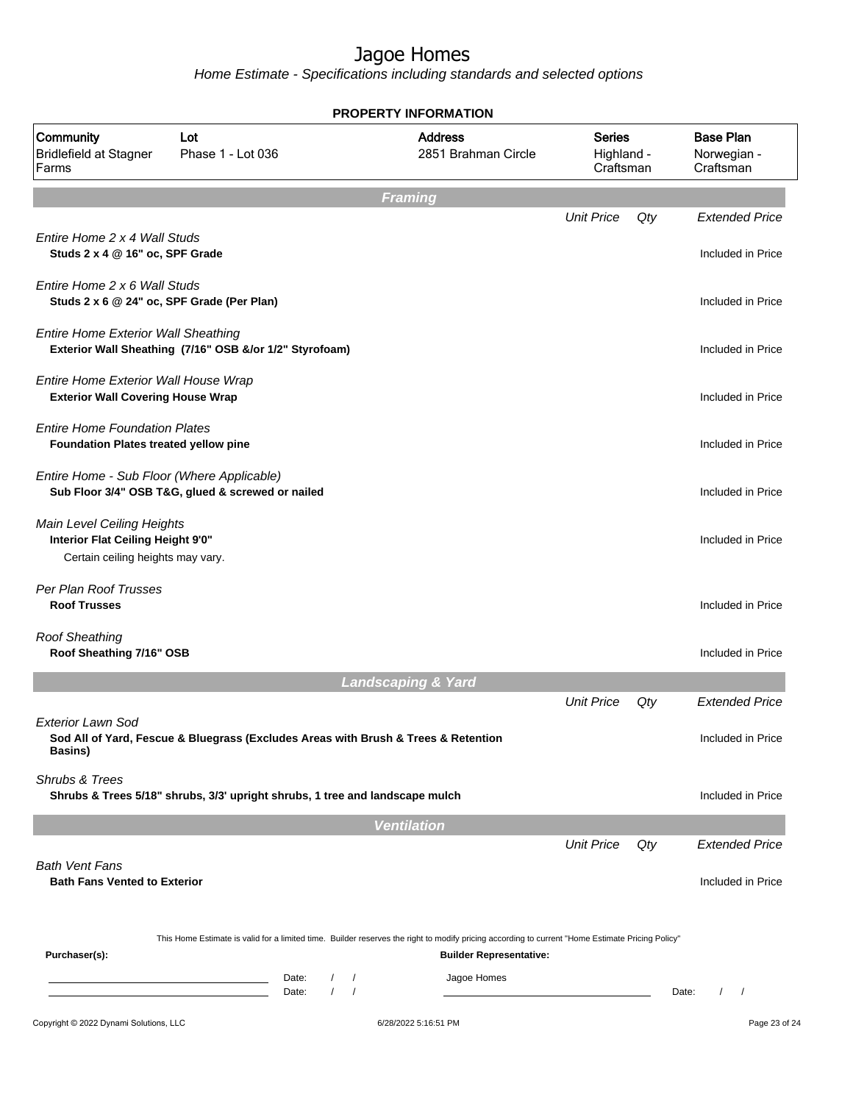|                                                                                                      |                                                                                    |                                                        | <b>PROPERTY INFORMATION</b>                                                                                                                                                        |                                          |     |                                              |  |
|------------------------------------------------------------------------------------------------------|------------------------------------------------------------------------------------|--------------------------------------------------------|------------------------------------------------------------------------------------------------------------------------------------------------------------------------------------|------------------------------------------|-----|----------------------------------------------|--|
| Community<br><b>Bridlefield at Stagner</b><br>Farms                                                  | Lot<br>Phase 1 - Lot 036                                                           |                                                        | <b>Address</b><br>2851 Brahman Circle                                                                                                                                              | <b>Series</b><br>Highland -<br>Craftsman |     | <b>Base Plan</b><br>Norwegian -<br>Craftsman |  |
|                                                                                                      |                                                                                    |                                                        | <b>Framing</b>                                                                                                                                                                     |                                          |     |                                              |  |
| Entire Home 2 x 4 Wall Studs<br>Studs 2 x 4 @ 16" oc, SPF Grade                                      |                                                                                    |                                                        |                                                                                                                                                                                    | <b>Unit Price</b>                        | Qty | <b>Extended Price</b><br>Included in Price   |  |
| Entire Home 2 x 6 Wall Studs<br>Studs 2 x 6 @ 24" oc, SPF Grade (Per Plan)                           |                                                                                    |                                                        |                                                                                                                                                                                    |                                          |     | Included in Price                            |  |
| <b>Entire Home Exterior Wall Sheathing</b>                                                           | Exterior Wall Sheathing (7/16" OSB &/or 1/2" Styrofoam)                            |                                                        |                                                                                                                                                                                    |                                          |     | Included in Price                            |  |
| Entire Home Exterior Wall House Wrap<br><b>Exterior Wall Covering House Wrap</b>                     |                                                                                    |                                                        |                                                                                                                                                                                    |                                          |     | Included in Price                            |  |
| <b>Entire Home Foundation Plates</b><br>Foundation Plates treated yellow pine                        |                                                                                    |                                                        |                                                                                                                                                                                    |                                          |     | Included in Price                            |  |
| Entire Home - Sub Floor (Where Applicable)                                                           | Sub Floor 3/4" OSB T&G, glued & screwed or nailed                                  |                                                        |                                                                                                                                                                                    |                                          |     | Included in Price                            |  |
| Main Level Ceiling Heights<br>Interior Flat Ceiling Height 9'0"<br>Certain ceiling heights may vary. |                                                                                    |                                                        |                                                                                                                                                                                    |                                          |     | Included in Price                            |  |
| Per Plan Roof Trusses<br><b>Roof Trusses</b>                                                         |                                                                                    |                                                        |                                                                                                                                                                                    |                                          |     | Included in Price                            |  |
| <b>Roof Sheathing</b><br>Roof Sheathing 7/16" OSB                                                    |                                                                                    |                                                        |                                                                                                                                                                                    |                                          |     | Included in Price                            |  |
|                                                                                                      |                                                                                    |                                                        | <b>Landscaping &amp; Yard</b>                                                                                                                                                      |                                          |     |                                              |  |
|                                                                                                      |                                                                                    |                                                        |                                                                                                                                                                                    | <b>Unit Price</b>                        | Qty | <b>Extended Price</b>                        |  |
| Exterior Lawn Sod<br><b>Basins</b> )                                                                 | Sod All of Yard, Fescue & Bluegrass (Excludes Areas with Brush & Trees & Retention |                                                        |                                                                                                                                                                                    |                                          |     | Included in Price                            |  |
| <b>Shrubs &amp; Trees</b>                                                                            | Shrubs & Trees 5/18" shrubs, 3/3' upright shrubs, 1 tree and landscape mulch       |                                                        |                                                                                                                                                                                    |                                          |     | Included in Price                            |  |
|                                                                                                      |                                                                                    |                                                        | <b>Ventilation</b>                                                                                                                                                                 |                                          |     |                                              |  |
|                                                                                                      |                                                                                    |                                                        |                                                                                                                                                                                    | <b>Unit Price</b>                        | Qty | <b>Extended Price</b>                        |  |
| <b>Bath Vent Fans</b><br><b>Bath Fans Vented to Exterior</b>                                         |                                                                                    |                                                        |                                                                                                                                                                                    |                                          |     | Included in Price                            |  |
| Purchaser(s):                                                                                        |                                                                                    |                                                        | This Home Estimate is valid for a limited time. Builder reserves the right to modify pricing according to current "Home Estimate Pricing Policy"<br><b>Builder Representative:</b> |                                          |     |                                              |  |
|                                                                                                      | the control of the control of the control of                                       | Date:<br>$\prime$<br>$\sqrt{ }$<br>$\sqrt{ }$<br>Date: | Jagoe Homes                                                                                                                                                                        |                                          |     | $\prime$<br>Date:<br>$\sqrt{ }$              |  |
| Copyright © 2022 Dynami Solutions, LLC                                                               |                                                                                    |                                                        | 6/28/2022 5:16:51 PM                                                                                                                                                               |                                          |     | Page 23 of 24                                |  |